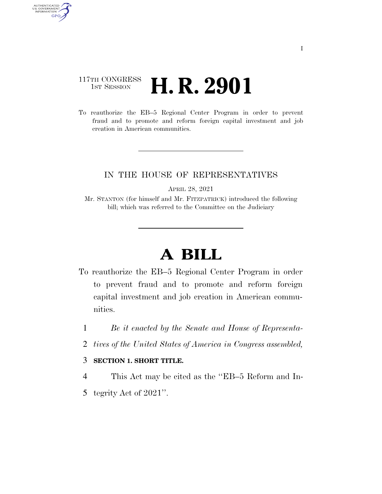### 117TH CONGRESS **1st Session H. R. 2901**

AUTHENTICATED<br>U.S. GOVERNMENT<br>INFORMATION GPO

> To reauthorize the EB–5 Regional Center Program in order to prevent fraud and to promote and reform foreign capital investment and job creation in American communities.

### IN THE HOUSE OF REPRESENTATIVES

APRIL 28, 2021

Mr. STANTON (for himself and Mr. FITZPATRICK) introduced the following bill; which was referred to the Committee on the Judiciary

# **A BILL**

- To reauthorize the EB–5 Regional Center Program in order to prevent fraud and to promote and reform foreign capital investment and job creation in American communities.
	- 1 *Be it enacted by the Senate and House of Representa-*
	- 2 *tives of the United States of America in Congress assembled,*

#### 3 **SECTION 1. SHORT TITLE.**

- 4 This Act may be cited as the ''EB–5 Reform and In-
- 5 tegrity Act of 2021''.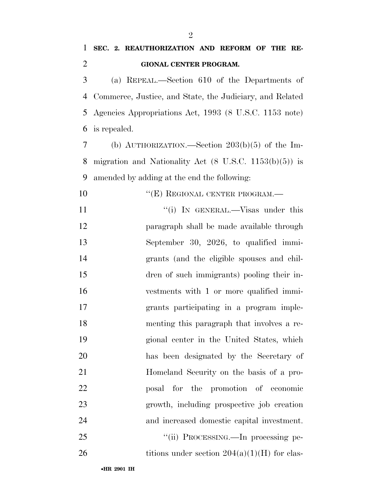## **SEC. 2. REAUTHORIZATION AND REFORM OF THE RE-GIONAL CENTER PROGRAM.**

 (a) REPEAL.—Section 610 of the Departments of Commerce, Justice, and State, the Judiciary, and Related Agencies Appropriations Act, 1993 (8 U.S.C. 1153 note) is repealed.

 (b) AUTHORIZATION.—Section 203(b)(5) of the Im- migration and Nationality Act (8 U.S.C. 1153(b)(5)) is amended by adding at the end the following:

- 10 "(E) REGIONAL CENTER PROGRAM.— 11 ''(i) In GENERAL.—Visas under this paragraph shall be made available through September 30, 2026, to qualified immi- grants (and the eligible spouses and chil- dren of such immigrants) pooling their in- vestments with 1 or more qualified immi- grants participating in a program imple- menting this paragraph that involves a re- gional center in the United States, which has been designated by the Secretary of Homeland Security on the basis of a pro- posal for the promotion of economic growth, including prospective job creation and increased domestic capital investment. 25 ""(ii) PROCESSING.—In processing pe-
- 26 titions under section  $204(a)(1)(H)$  for clas-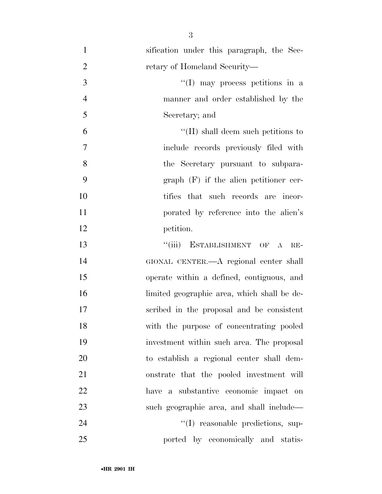| $\mathbf{1}$   | sification under this paragraph, the Sec-   |
|----------------|---------------------------------------------|
| $\overline{2}$ | retary of Homeland Security-                |
| 3              | $\lq(1)$ may process petitions in a         |
| $\overline{4}$ | manner and order established by the         |
| 5              | Secretary; and                              |
| 6              | $\lq\lq$ (II) shall deem such petitions to  |
| 7              | include records previously filed with       |
| 8              | the Secretary pursuant to subpara-          |
| 9              | $graph$ (F) if the alien petitioner cer-    |
| 10             | tifies that such records are incor-         |
| 11             | porated by reference into the alien's       |
| 12             | petition.                                   |
| 13             | ESTABLISHMENT OF A<br>``(iii)<br>$RE-$      |
| 14             | GIONAL CENTER.- A regional center shall     |
| 15             | operate within a defined, contiguous, and   |
| 16             | limited geographic area, which shall be de- |
| 17             | scribed in the proposal and be consistent   |
| 18             | with the purpose of concentrating pooled    |
| 19             | investment within such area. The proposal   |
| 20             | to establish a regional center shall dem-   |
| 21             | onstrate that the pooled investment will    |
| 22             | have a substantive economic impact on       |
| 23             | such geographic area, and shall include—    |
| 24             | "(I) reasonable predictions, sup-           |
| 25             | ported by economically and statis-          |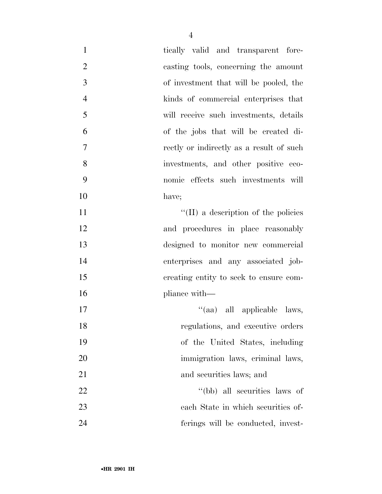| $\mathbf{1}$     | tically valid and transparent fore-      |
|------------------|------------------------------------------|
| $\overline{2}$   | casting tools, concerning the amount     |
| 3                | of investment that will be pooled, the   |
| $\overline{4}$   | kinds of commercial enterprises that     |
| 5                | will receive such investments, details   |
| 6                | of the jobs that will be created di-     |
| $\boldsymbol{7}$ | rectly or indirectly as a result of such |
| 8                | investments, and other positive eco-     |
| 9                | nomic effects such investments will      |
| 10               | have;                                    |
| 11               | "(II) a description of the policies      |
| 12               | and procedures in place reasonably       |
| 13               | designed to monitor new commercial       |
| 14               | enterprises and any associated job-      |
| 15               | creating entity to seek to ensure com-   |
| 16               | pliance with—                            |
| 17               | "(aa) all applicable laws,               |
| 18               | regulations, and executive orders        |
| 19               | of the United States, including          |
| 20               | immigration laws, criminal laws,         |
| 21               | and securities laws; and                 |
| 22               | "(bb) all securities laws of             |
| 23               | each State in which securities of-       |
| 24               | ferings will be conducted, invest-       |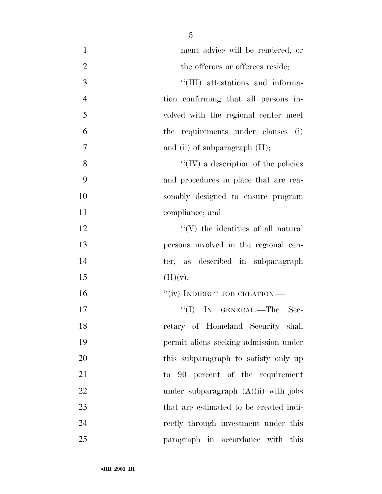| $\mathbf{1}$   | ment advice will be rendered, or            |
|----------------|---------------------------------------------|
| $\overline{2}$ | the offerors or offerees reside;            |
| 3              | "(III) attestations and informa-            |
| $\overline{4}$ | tion confirming that all persons in-        |
| 5              | volved with the regional center meet        |
| 6              | the requirements under clauses (i)          |
| 7              | and (ii) of subparagraph $(H)$ ;            |
| 8              | $\lq\lq$ (IV) a description of the policies |
| 9              | and procedures in place that are rea-       |
| 10             | sonably designed to ensure program          |
| 11             | compliance; and                             |
| 12             | $\lq\lq(V)$ the identities of all natural   |
| 13             | persons involved in the regional cen-       |
| 14             | ter, as described in subparagraph           |
| 15             | (H)(v).                                     |
| 16             | "(iv) INDIRECT JOB CREATION.-               |
| 17             | "(I) IN GENERAL.—The Sec-                   |
| 18             | retary of Homeland Security shall           |
| 19             | permit aliens seeking admission under       |
| 20             | this subparagraph to satisfy only up        |
| 21             | to 90 percent of the requirement            |
| 22             | under subparagraph $(A)(ii)$ with jobs      |
| 23             | that are estimated to be created indi-      |
| 24             | rectly through investment under this        |
| 25             | this<br>paragraph in accordance with        |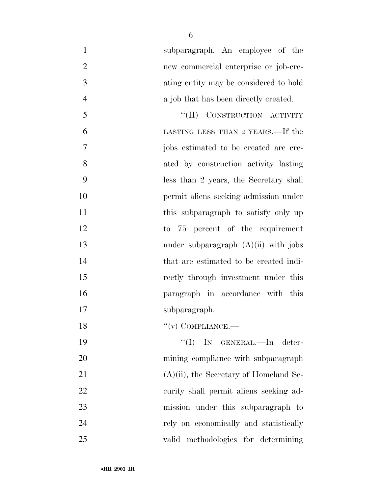| $\mathbf{1}$   | subparagraph. An employee of the          |
|----------------|-------------------------------------------|
| $\overline{2}$ | new commercial enterprise or job-cre-     |
| 3              | ating entity may be considered to hold    |
| $\overline{4}$ | a job that has been directly created.     |
| 5              | "(II) CONSTRUCTION ACTIVITY               |
| 6              | LASTING LESS THAN 2 YEARS.—If the         |
| 7              | jobs estimated to be created are cre-     |
| 8              | ated by construction activity lasting     |
| 9              | less than 2 years, the Secretary shall    |
| 10             | permit aliens seeking admission under     |
| 11             | this subparagraph to satisfy only up      |
| 12             | to 75 percent of the requirement          |
| 13             | under subparagraph $(A)(ii)$ with jobs    |
| 14             | that are estimated to be created indi-    |
| 15             | rectly through investment under this      |
| 16             | paragraph in accordance with this         |
| 17             | subparagraph.                             |
| 18             | $``(v)$ COMPLIANCE.—                      |
| 19             | $``(I)$ IN GENERAL.—In deter-             |
| 20             | mining compliance with subparagraph       |
| 21             | $(A)(ii)$ , the Secretary of Homeland Se- |
| 22             | curity shall permit aliens seeking ad-    |
| 23             | mission under this subparagraph to        |
| 24             | rely on economically and statistically    |
| 25             | valid methodologies for determining       |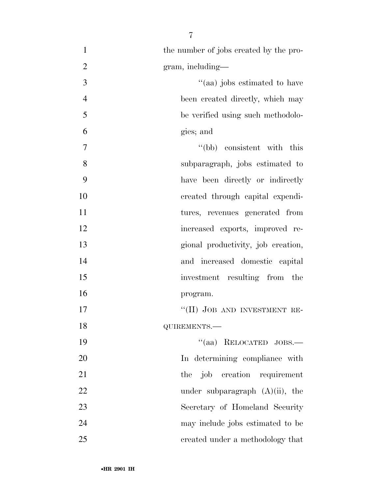| $\mathbf{1}$   | the number of jobs created by the pro- |
|----------------|----------------------------------------|
| $\overline{2}$ | $gram$ , including—                    |
| 3              | "(aa) jobs estimated to have           |
| $\overline{4}$ | been created directly, which may       |
| 5              | be verified using such methodolo-      |
| 6              | gies; and                              |
| 7              | "(bb) consistent with this             |
| 8              | subparagraph, jobs estimated to        |
| 9              | have been directly or indirectly       |
| 10             | created through capital expendi-       |
| 11             | tures, revenues generated from         |
| 12             | increased exports, improved re-        |
| 13             | gional productivity, job creation,     |
| 14             | and increased domestic capital         |
| 15             | investment resulting from the          |
| 16             | program.                               |
| 17             | "(II) JOB AND INVESTMENT RE-           |
| 18             | QUIREMENTS.-                           |
| 19             | $``(aa)$ RELOCATED JOBS.—              |
| 20             | In determining compliance with         |
| 21             | job creation requirement<br>the        |
| 22             | under subparagraph $(A)(ii)$ , the     |
| 23             | Secretary of Homeland Security         |
| 24             | may include jobs estimated to be       |
| 25             | created under a methodology that       |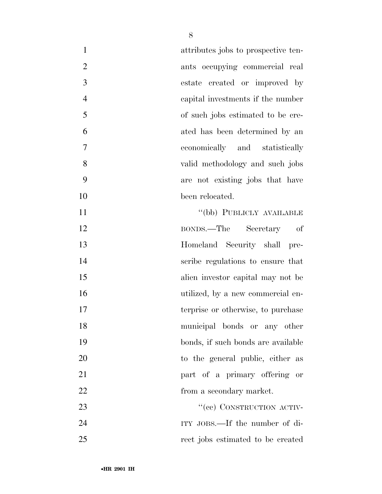| $\mathbf{1}$   | attributes jobs to prospective ten- |
|----------------|-------------------------------------|
| $\overline{2}$ | ants occupying commercial real      |
| 3              | estate created or improved by       |
| $\overline{4}$ | capital investments if the number   |
| 5              | of such jobs estimated to be cre-   |
| 6              | ated has been determined by an      |
| 7              | economically and statistically      |
| 8              | valid methodology and such jobs     |
| 9              | are not existing jobs that have     |
| 10             | been relocated.                     |
| 11             | "(bb) PUBLICLY AVAILABLE            |
| 12             | BONDS.—The Secretary of             |
| 13             | Homeland Security shall<br>pre-     |
| 14             | scribe regulations to ensure that   |
| 15             | alien investor capital may not be   |
| 16             | utilized, by a new commercial en-   |
| 17             | terprise or otherwise, to purchase  |
| 18             | municipal bonds or any other        |
| 19             | bonds, if such bonds are available  |
| 20             | to the general public, either as    |
| 21             | part of a primary offering or       |
| 22             | from a secondary market.            |
| 23             | "(ee) CONSTRUCTION ACTIV-           |
| 24             | ITY JOBS.—If the number of di-      |
| 25             | rect jobs estimated to be created   |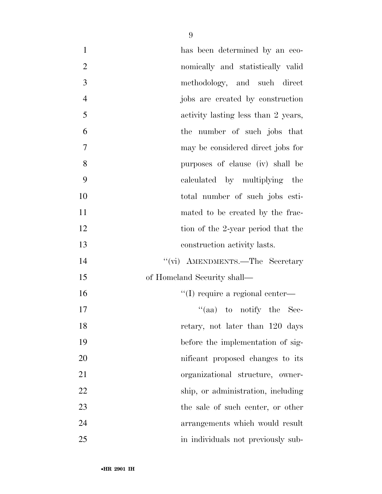| $\mathbf{1}$   | has been determined by an eco-      |
|----------------|-------------------------------------|
| $\overline{2}$ | nomically and statistically valid   |
| 3              | methodology, and such direct        |
| $\overline{4}$ | jobs are created by construction    |
| 5              | activity lasting less than 2 years, |
| 6              | the number of such jobs that        |
| 7              | may be considered direct jobs for   |
| 8              | purposes of clause (iv) shall be    |
| 9              | calculated by multiplying the       |
| 10             | total number of such jobs esti-     |
| 11             | mated to be created by the frac-    |
| 12             | tion of the 2-year period that the  |
| 13             | construction activity lasts.        |
| 14             | "(vi) AMENDMENTS.—The Secretary     |
| 15             | of Homeland Security shall—         |
| 16             | "(I) require a regional center—     |
| 17             | "(aa) to notify the Sec-            |
| 18             | retary, not later than 120 days     |
| 19             | before the implementation of sig-   |
| 20             | nificant proposed changes to its    |
| 21             | organizational structure, owner-    |
| 22             | ship, or administration, including  |
| 23             | the sale of such center, or other   |
| 24             | arrangements which would result     |
| 25             | in individuals not previously sub-  |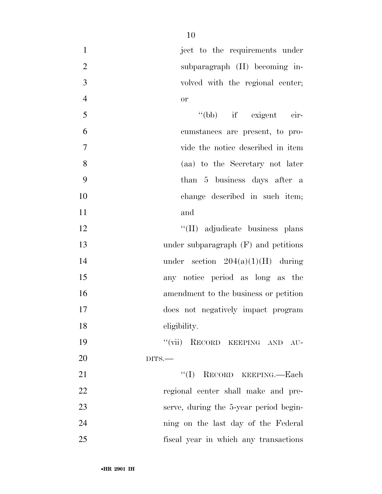| $\mathbf{1}$   | ject to the requirements under             |
|----------------|--------------------------------------------|
| $\overline{2}$ | subparagraph (H) becoming in-              |
| 3              | volved with the regional center;           |
| $\overline{4}$ | <b>or</b>                                  |
| 5              | "(bb) if exigent cir-                      |
| 6              | cumstances are present, to pro-            |
| $\overline{7}$ | vide the notice described in item          |
| 8              | (aa) to the Secretary not later            |
| 9              | than 5 business days after a               |
| 10             | change described in such item;             |
| 11             | and                                        |
| 12             | "(II) adjudicate business plans            |
| 13             | under subparagraph $(F)$ and petitions     |
| 14             | under section $204(a)(1)(H)$ during        |
| 15             | any notice period as long as the           |
| 16             | amendment to the business or petition      |
| 17             | does not negatively impact program         |
| 18             | eligibility.                               |
| 19             | $``(\text{vii})$<br>RECORD KEEPING AND AU- |
| 20             | $DITS$ .                                   |
| 21             | "(I) RECORD KEEPING.—Each                  |
| 22             | regional center shall make and pre-        |
| 23             | serve, during the 5-year period begin-     |
| 24             | ning on the last day of the Federal        |
| 25             | fiscal year in which any transactions      |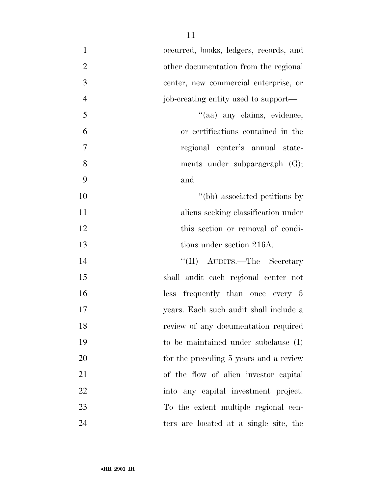| $\mathbf{1}$   | occurred, books, ledgers, records, and |
|----------------|----------------------------------------|
| $\overline{2}$ | other documentation from the regional  |
| 3              | center, new commercial enterprise, or  |
| $\overline{4}$ | job-creating entity used to support—   |
| 5              | "(aa) any claims, evidence,            |
| 6              | or certifications contained in the     |
| 7              | regional center's annual state-        |
| 8              | ments under subparagraph (G);          |
| 9              | and                                    |
| 10             | "(bb) associated petitions by          |
| 11             | aliens seeking classification under    |
| 12             | this section or removal of condi-      |
| 13             | tions under section 216A.              |
| 14             | "(II) AUDITS.—The Secretary            |
| 15             | shall audit each regional center not   |
| 16             | less frequently than once every 5      |
| 17             | years. Each such audit shall include a |
| 18             | review of any documentation required   |
| 19             | to be maintained under subclause (I)   |
| 20             | for the preceding 5 years and a review |
| 21             | of the flow of alien investor capital  |
| 22             | into any capital investment project.   |
| 23             | To the extent multiple regional cen-   |
| 24             | ters are located at a single site, the |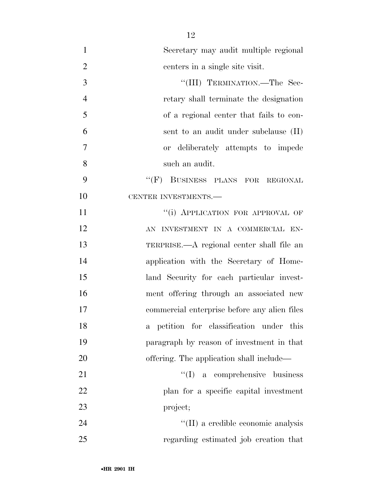| $\mathbf{1}$   | Secretary may audit multiple regional        |
|----------------|----------------------------------------------|
| $\overline{2}$ | centers in a single site visit.              |
| 3              | "(III) TERMINATION.—The Sec-                 |
| $\overline{4}$ | retary shall terminate the designation       |
| 5              | of a regional center that fails to con-      |
| 6              | sent to an audit under subclause (II)        |
| $\overline{7}$ | or deliberately attempts to impede           |
| 8              | such an audit.                               |
| 9              | "(F) BUSINESS PLANS FOR REGIONAL             |
| 10             | CENTER INVESTMENTS.-                         |
| 11             | "(i) APPLICATION FOR APPROVAL OF             |
| 12             | AN INVESTMENT IN A COMMERCIAL EN-            |
| 13             | TERPRISE.—A regional center shall file an    |
| 14             | application with the Secretary of Home-      |
| 15             | land Security for each particular invest-    |
| 16             | ment offering through an associated new      |
| 17             | commercial enterprise before any alien files |
| 18             | a petition for classification under this     |
| 19             | paragraph by reason of investment in that    |
| 20             | offering. The application shall include—     |
| 21             | $\lq\lq$ (I) a comprehensive business        |
| 22             | plan for a specific capital investment       |
| 23             | project;                                     |
| 24             | "(II) a credible economic analysis           |
| 25             | regarding estimated job creation that        |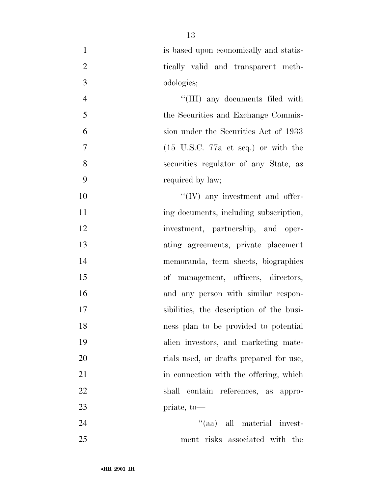| $\mathbf{1}$   | is based upon economically and statis-                 |
|----------------|--------------------------------------------------------|
| $\overline{2}$ | tically valid and transparent meth-                    |
| 3              | odologies;                                             |
| $\overline{4}$ | "(III) any documents filed with                        |
| 5              | the Securities and Exchange Commis-                    |
| 6              | sion under the Securities Act of 1933                  |
| 7              | $(15 \text{ U.S.C. } 77a \text{ et seq.})$ or with the |
| 8              | securities regulator of any State, as                  |
| 9              | required by law;                                       |
| 10             | $\lq\lq$ (IV) any investment and offer-                |
| 11             | ing documents, including subscription,                 |
| 12             | investment, partnership, and oper-                     |
| 13             | ating agreements, private placement                    |
| 14             | memoranda, term sheets, biographies                    |
| 15             | of management, officers, directors,                    |
| 16             | and any person with similar respon-                    |
| 17             | sibilities, the description of the busi-               |
| 18             | ness plan to be provided to potential                  |
| 19             | alien investors, and marketing mate-                   |
| 20             | rials used, or drafts prepared for use,                |
| 21             | in connection with the offering, which                 |
| 22             | contain references, as appro-<br>shall                 |
| 23             | priate, to—                                            |
| 24             | "(aa) all material invest-                             |
| 25             | ment risks associated with the                         |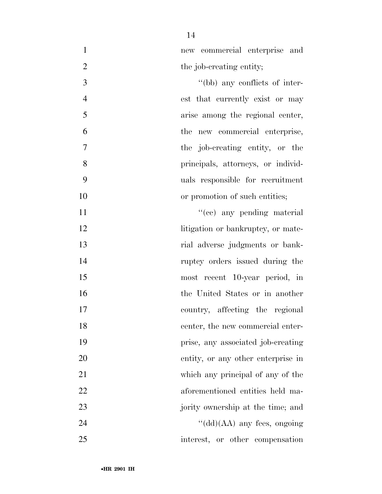new commercial enterprise and 2 the job-creating entity;

 ''(bb) any conflicts of inter- est that currently exist or may arise among the regional center, the new commercial enterprise, the job-creating entity, or the principals, attorneys, or individ- uals responsible for recruitment 10 or promotion of such entities;

 $"({\rm cc})$  any pending material 12 litigation or bankruptcy, or mate- rial adverse judgments or bank- ruptcy orders issued during the most recent 10-year period, in the United States or in another country, affecting the regional 18 center, the new commercial enter- prise, any associated job-creating entity, or any other enterprise in which any principal of any of the aforementioned entities held ma-23 jority ownership at the time; and ''(dd)(AA) any fees, ongoing interest, or other compensation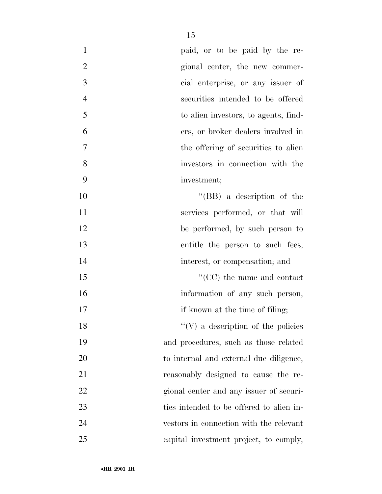| $\mathbf{1}$   | paid, or to be paid by the re-            |
|----------------|-------------------------------------------|
| $\overline{2}$ | gional center, the new commer-            |
| $\mathfrak{Z}$ | cial enterprise, or any issuer of         |
| $\overline{4}$ | securities intended to be offered         |
| 5              | to alien investors, to agents, find-      |
| 6              | ers, or broker dealers involved in        |
| 7              | the offering of securities to alien       |
| 8              | investors in connection with the          |
| 9              | investment;                               |
| 10             | "(BB) a description of the                |
| 11             | services performed, or that will          |
| 12             | be performed, by such person to           |
| 13             | entitle the person to such fees,          |
| 14             | interest, or compensation; and            |
| 15             | $\lq\lq$ (CC) the name and contact        |
| 16             | information of any such person,           |
| 17             | if known at the time of filing;           |
| 18             | $\lq\lq(V)$ a description of the policies |
| 19             | and procedures, such as those related     |
| 20             | to internal and external due diligence,   |
| 21             | reasonably designed to cause the re-      |
| 22             | gional center and any issuer of securi-   |
| 23             | ties intended to be offered to alien in-  |
| 24             | vestors in connection with the relevant   |
| 25             | capital investment project, to comply,    |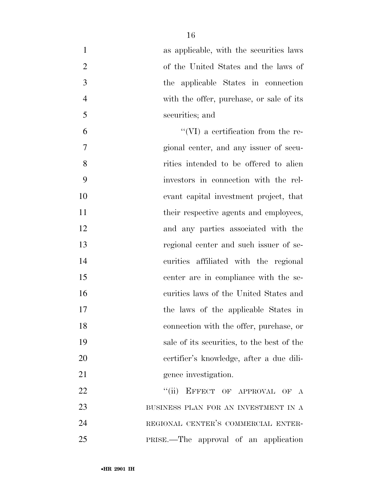| $\mathbf{1}$   | as applicable, with the securities laws    |
|----------------|--------------------------------------------|
| $\overline{2}$ | of the United States and the laws of       |
| 3              | the applicable States in connection        |
| $\overline{4}$ | with the offer, purchase, or sale of its   |
| 5              | securities; and                            |
| 6              | $\lq\lq$ (VI) a certification from the re- |
| 7              | gional center, and any issuer of secu-     |
| 8              | rities intended to be offered to alien     |
| 9              | investors in connection with the rel-      |
| 10             | evant capital investment project, that     |
| 11             | their respective agents and employees,     |
| 12             | and any parties associated with the        |
| 13             | regional center and such issuer of se-     |
| 14             | curities affiliated with the regional      |
| 15             | center are in compliance with the se-      |
| 16             | curities laws of the United States and     |
| 17             | the laws of the applicable States in       |
| 18             | connection with the offer, purchase, or    |
| 19             | sale of its securities, to the best of the |
| 20             | eertifier's knowledge, after a due dili-   |
| 21             | gence investigation.                       |
| 22             | "(ii) EFFECT OF APPROVAL OF A              |
| 23             | BUSINESS PLAN FOR AN INVESTMENT IN A       |
| 24             | REGIONAL CENTER'S COMMERCIAL ENTER-        |
| 25             | PRISE.—The approval of an application      |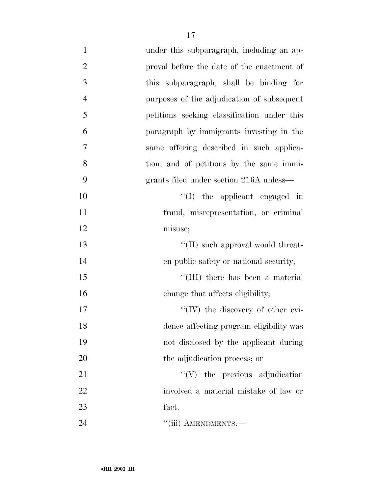| $\mathbf{1}$   | under this subparagraph, including an ap-   |
|----------------|---------------------------------------------|
| $\overline{2}$ | proval before the date of the enactment of  |
| 3              | this subparagraph, shall be binding for     |
| $\overline{4}$ | purposes of the adjudication of subsequent  |
| 5              | petitions seeking classification under this |
| 6              | paragraph by immigrants investing in the    |
| $\overline{7}$ | same offering described in such applica-    |
| 8              | tion, and of petitions by the same immi-    |
| 9              | grants filed under section 216A unless—     |
| 10             | $\lq(1)$ the applicant engaged in           |
| 11             | fraud, misrepresentation, or criminal       |
| 12             | misuse;                                     |
| 13             | "(II) such approval would threat-           |
| 14             | en public safety or national security;      |
| 15             | "(III) there has been a material            |
| 16             | change that affects eligibility;            |
| 17             | "(IV) the discovery of other evi-           |
| 18             | dence affecting program eligibility was     |
| 19             | not disclosed by the applicant during       |
| 20             | the adjudication process; or                |
| 21             | $\lq\lq(V)$ the previous adjudication       |
| 22             | involved a material mistake of law or       |
| 23             | fact.                                       |
| 24             | "(iii) AMENDMENTS.-                         |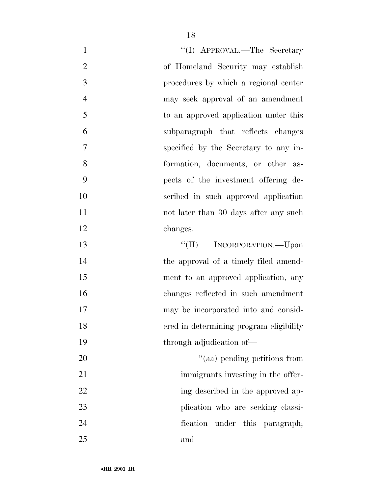| $\mathbf{1}$   | "(I) APPROVAL.—The Secretary            |
|----------------|-----------------------------------------|
| $\overline{2}$ | of Homeland Security may establish      |
| 3              | procedures by which a regional center   |
| $\overline{4}$ | may seek approval of an amendment       |
| 5              | to an approved application under this   |
| 6              | subparagraph that reflects changes      |
| 7              | specified by the Secretary to any in-   |
| 8              | formation, documents, or other as-      |
| 9              | pects of the investment offering de-    |
| 10             | scribed in such approved application    |
| 11             | not later than 30 days after any such   |
| 12             | changes.                                |
| 13             | "(II) INCORPORATION.—Upon               |
| 14             | the approval of a timely filed amend-   |
| 15             | ment to an approved application, any    |
| 16             | changes reflected in such amendment     |
| 17             | may be incorporated into and consid-    |
| 18             | ered in determining program eligibility |
| 19             | through adjudication of-                |
| 20             | "(aa) pending petitions from            |
| 21             | immigrants investing in the offer-      |
| 22             | ing described in the approved ap-       |
| 23             | plication who are seeking classi-       |
| 24             | fication under this paragraph;          |
| 25             | and                                     |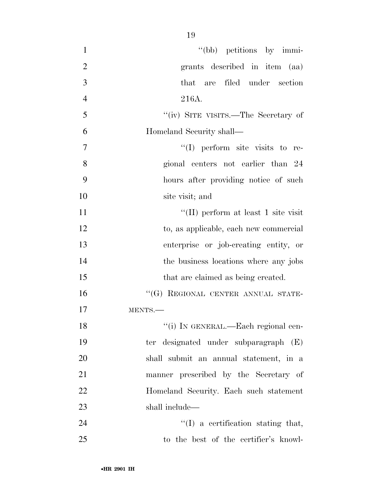| $\mathbf{1}$   | "(bb) petitions by immi-               |
|----------------|----------------------------------------|
| $\overline{2}$ | grants described in item (aa)          |
| 3              | that are filed under section           |
| $\overline{4}$ | 216A.                                  |
| 5              | "(iv) SITE VISITS.—The Secretary of    |
| 6              | Homeland Security shall—               |
| $\tau$         | $\lq(1)$ perform site visits to re-    |
| 8              | gional centers not earlier than 24     |
| 9              | hours after providing notice of such   |
| 10             | site visit; and                        |
| 11             | "(II) perform at least 1 site visit    |
| 12             | to, as applicable, each new commercial |
| 13             | enterprise or job-creating entity, or  |
| 14             | the business locations where any jobs  |
| 15             | that are claimed as being created.     |
| 16             | "(G) REGIONAL CENTER ANNUAL STATE-     |
| 17             | MENTS.-                                |
| 18             | "(i) IN GENERAL.—Each regional cen-    |
| 19             | ter designated under subparagraph (E)  |
| 20             | shall submit an annual statement, in a |
| 21             | manner prescribed by the Secretary of  |
| 22             | Homeland Security. Each such statement |
| 23             | shall include—                         |
| 24             | $\lq\lq$ a certification stating that, |
| 25             | to the best of the certifier's knowl-  |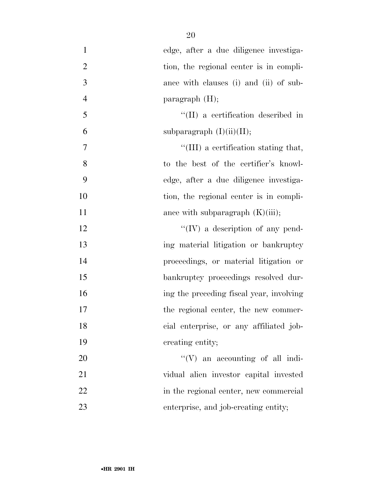| $\mathbf{1}$     | edge, after a due diligence investiga-     |
|------------------|--------------------------------------------|
| $\overline{2}$   | tion, the regional center is in compli-    |
| 3                | ance with clauses (i) and (ii) of sub-     |
| $\overline{4}$   | paragraph $(H)$ ;                          |
| 5                | $\lq\lq$ (II) a certification described in |
| 6                | subparagraph $(I)(ii)(II);$                |
| $\boldsymbol{7}$ | "(III) a certification stating that,       |
| 8                | to the best of the certifier's knowl-      |
| 9                | edge, after a due diligence investiga-     |
| 10               | tion, the regional center is in compli-    |
| 11               | ance with subparagraph $(K)(iii)$ ;        |
| 12               | $\lq\lq (IV)$ a description of any pend-   |
| 13               | ing material litigation or bankruptcy      |
| 14               | proceedings, or material litigation or     |
| 15               | bankruptcy proceedings resolved dur-       |
| 16               | ing the preceding fiscal year, involving   |
| 17               | the regional center, the new commer-       |
| 18               | cial enterprise, or any affiliated job-    |
| 19               | creating entity;                           |
| 20               | $\lq\lq (V)$ an accounting of all indi-    |
| 21               | vidual alien investor capital invested     |
| 22               | in the regional center, new commercial     |
| 23               | enterprise, and job-creating entity;       |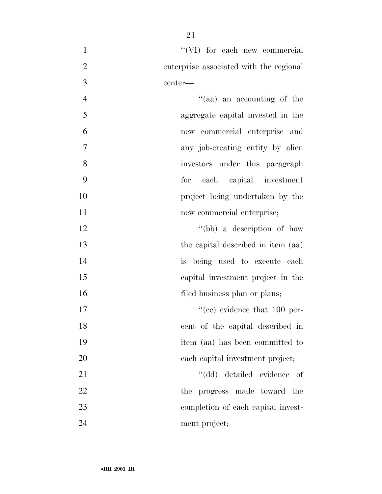| $\mathbf{1}$     | "(VI) for each new commercial           |
|------------------|-----------------------------------------|
| $\overline{2}$   | enterprise associated with the regional |
| 3                | center—                                 |
| $\overline{4}$   | "(aa) an accounting of the              |
| 5                | aggregate capital invested in the       |
| 6                | new commercial enterprise and           |
| $\boldsymbol{7}$ | any job-creating entity by alien        |
| 8                | investors under this paragraph          |
| 9                | each capital investment<br>for          |
| 10               | project being undertaken by the         |
| 11               | new commercial enterprise;              |
| 12               | "(bb) a description of how              |
| 13               | the capital described in item (aa)      |
| 14               | is being used to execute each           |
| 15               | capital investment project in the       |
| 16               | filed business plan or plans;           |
| 17               | $\cdot$ (ce) evidence that 100 per-     |
| 18               | cent of the capital described in        |
| 19               | item (aa) has been committed to         |
| 20               | each capital investment project;        |
| 21               | "(dd) detailed evidence of              |
| 22               | the progress made toward the            |
| 23               | completion of each capital invest-      |
| 24               | ment project;                           |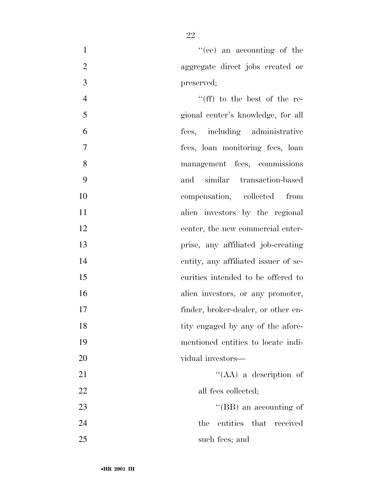1  $"$ (ee) an accounting of the 2 aggregate direct jobs created or 3 preserved;

4 ''(ff) to the best of the re-5 gional center's knowledge, for all 6 fees, including administrative 7 fees, loan monitoring fees, loan 8 management fees, commissions 9 and similar transaction-based 10 compensation, collected from 11 alien investors by the regional 12 center, the new commercial enter-13 prise, any affiliated job-creating 14 entity, any affiliated issuer of se-15 curities intended to be offered to 16 alien investors, or any promoter, 17 finder, broker-dealer, or other en-18 tity engaged by any of the afore-19 mentioned entities to locate indi-20 vidual investors— 21 ''(AA) a description of 22 all fees collected; 23 ''(BB) an accounting of 24 the entities that received 25 such fees; and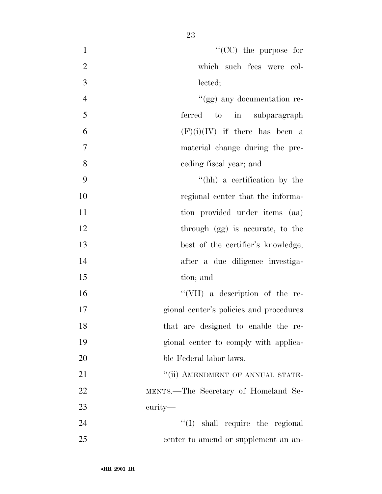| $\mathbf{1}$   | $\lq\lq$ (CC) the purpose for           |
|----------------|-----------------------------------------|
| $\overline{2}$ | which such fees were col-               |
| 3              | lected;                                 |
| $\overline{4}$ | "(gg) any documentation re-             |
| 5              | ferred to in subparagraph               |
| 6              | $(F)(i)(IV)$ if there has been a        |
| 7              | material change during the pre-         |
| 8              | ceding fiscal year; and                 |
| 9              | "(hh) a certification by the            |
| 10             | regional center that the informa-       |
| 11             | tion provided under items (aa)          |
| 12             | through (gg) is accurate, to the        |
| 13             | best of the certifier's knowledge,      |
| 14             | after a due diligence investiga-        |
| 15             | tion; and                               |
| 16             | "(VII) a description of the re-         |
| 17             | gional center's policies and procedures |
| 18             | that are designed to enable the re-     |
| 19             | gional center to comply with applica-   |
| 20             | ble Federal labor laws.                 |
| 21             | "(ii) AMENDMENT OF ANNUAL STATE-        |
| 22             | MENTS.—The Secretary of Homeland Se-    |
| 23             | curity—                                 |
| 24             | "(I) shall require the regional         |
| 25             | center to amend or supplement an an-    |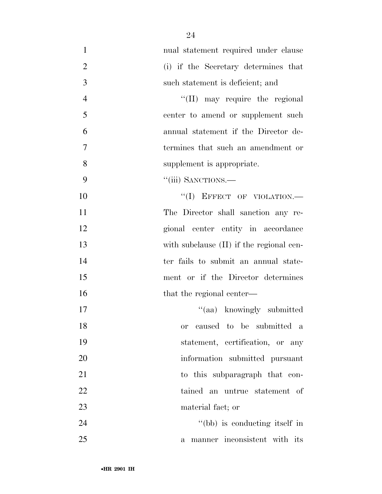| $\mathbf{1}$   | nual statement required under clause         |
|----------------|----------------------------------------------|
| $\overline{2}$ | (i) if the Secretary determines that         |
| 3              | such statement is deficient; and             |
| $\overline{4}$ | "(II) may require the regional               |
| 5              | center to amend or supplement such           |
| 6              | annual statement if the Director de-         |
| 7              | termines that such an amendment or           |
| 8              | supplement is appropriate.                   |
| 9              | "(iii) SANCTIONS.-                           |
| 10             | "(I) EFFECT OF VIOLATION.-                   |
| 11             | The Director shall sanction any re-          |
| 12             | gional center entity in accordance           |
| 13             | with subclause (II) if the regional cen-     |
| 14             | ter fails to submit an annual state-         |
| 15             | ment or if the Director determines           |
| 16             | that the regional center—                    |
| 17             | "(aa) knowingly submitted                    |
| 18             | caused to be submitted a<br><b>or</b>        |
| 19             | statement, certification, or any             |
| 20             | information submitted pursuant               |
| 21             | to this subparagraph that con-               |
| 22             | tained an untrue statement of                |
| 23             | material fact; or                            |
| 24             | "(bb) is conducting itself in                |
| 25             | manner inconsistent with its<br>$\mathbf{a}$ |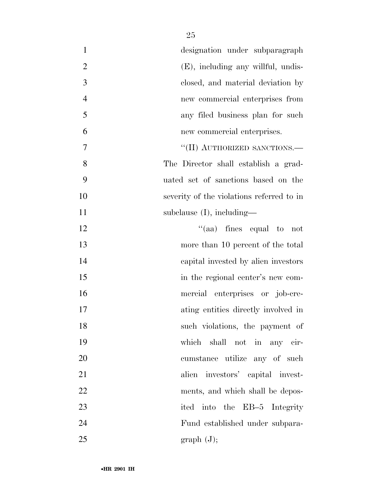| $\mathbf{1}$   | designation under subparagraph            |
|----------------|-------------------------------------------|
| $\overline{2}$ | $(E)$ , including any willful, undis-     |
| 3              | closed, and material deviation by         |
| $\overline{4}$ | new commercial enterprises from           |
| 5              | any filed business plan for such          |
| 6              | new commercial enterprises.               |
| 7              | "(II) AUTHORIZED SANCTIONS.-              |
| 8              | The Director shall establish a grad-      |
| 9              | uated set of sanctions based on the       |
| 10             | severity of the violations referred to in |
| 11             | subclause $(I)$ , including—              |
| 12             | "(aa) fines equal to not                  |
| 13             | more than 10 percent of the total         |
| 14             | capital invested by alien investors       |
| 15             | in the regional center's new com-         |
| 16             | mercial enterprises or job-cre-           |
| 17             | ating entities directly involved in       |
| 18             | such violations, the payment of           |
| 19             | which shall not in any cir-               |
| 20             | cumstance utilize any of such             |
| 21             | alien investors' capital invest-          |
| 22             | ments, and which shall be depos-          |
| 23             | ited into the EB-5 Integrity              |
| 24             | Fund established under subpara-           |
| 25             | graph (J);                                |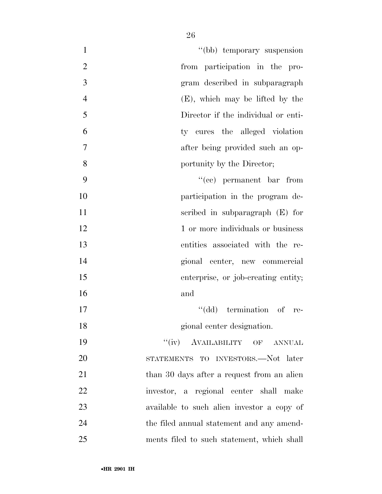| "(bb) temporary suspension<br>$\mathbf{1}$           |  |
|------------------------------------------------------|--|
| $\overline{2}$<br>from participation in the pro-     |  |
| 3<br>gram described in subparagraph                  |  |
| $\overline{4}$<br>$(E)$ , which may be lifted by the |  |
| 5<br>Director if the individual or enti-             |  |
| 6<br>ty cures the alleged violation                  |  |
| 7<br>after being provided such an op-                |  |
| 8<br>portunity by the Director;                      |  |
| 9<br>$f'(ce)$ permanent bar from                     |  |
| 10<br>participation in the program de-               |  |
| 11<br>scribed in subparagraph $(E)$ for              |  |
| 12<br>1 or more individuals or business              |  |
| 13<br>entities associated with the re-               |  |
| 14<br>gional center, new commercial                  |  |
| 15<br>enterprise, or job-creating entity;            |  |
| 16<br>and                                            |  |
| "(dd) termination of re-<br>17                       |  |
| gional center designation.<br>18                     |  |
| "(iv) AVAILABILITY OF ANNUAL<br>19                   |  |
| 20<br>STATEMENTS TO INVESTORS.—Not later             |  |
| 21<br>than 30 days after a request from an alien     |  |
| 22<br>investor, a regional center shall make         |  |
| 23<br>available to such alien investor a copy of     |  |
| 24<br>the filed annual statement and any amend-      |  |
| 25<br>ments filed to such statement, which shall     |  |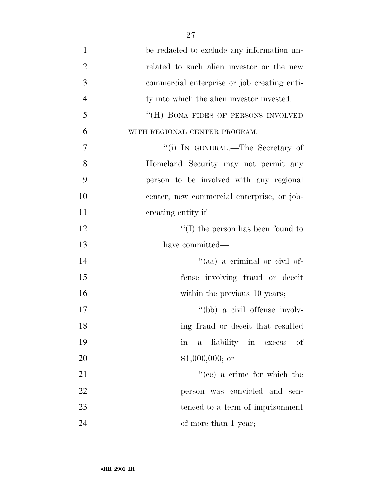| $\mathbf{1}$   | be redacted to exclude any information un-  |
|----------------|---------------------------------------------|
| $\overline{2}$ | related to such alien investor or the new   |
| 3              | commercial enterprise or job creating enti- |
| $\overline{4}$ | ty into which the alien investor invested.  |
| 5              | "(H) BONA FIDES OF PERSONS INVOLVED         |
| 6              | WITH REGIONAL CENTER PROGRAM.-              |
| 7              | "(i) IN GENERAL.—The Secretary of           |
| 8              | Homeland Security may not permit any        |
| 9              | person to be involved with any regional     |
| 10             | center, new commercial enterprise, or job-  |
| 11             | creating entity if—                         |
| 12             | $\lq\lq$ the person has been found to       |
| 13             | have committed—                             |
| 14             | "(aa) a criminal or civil of-               |
| 15             | fense involving fraud or deceit             |
| 16             | within the previous 10 years;               |
| 17             | "(bb) a civil offense involv-               |
| 18             | ing fraud or deceit that resulted           |
| 19             | liability in excess<br>οf<br>in<br>$a -$    |
| 20             | $$1,000,000;$ or                            |
| 21             | $f''(ce)$ a crime for which the             |
| 22             | person was convicted and sen-               |
| 23             | tenced to a term of imprisonment            |
| 24             | of more than 1 year;                        |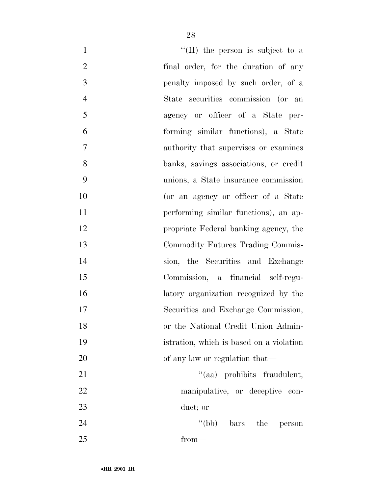| $\mathbf{1}$   | "(II) the person is subject to a         |
|----------------|------------------------------------------|
| $\overline{2}$ | final order, for the duration of any     |
| 3              | penalty imposed by such order, of a      |
| $\overline{4}$ | State securities commission (or an       |
| 5              | agency or officer of a State per-        |
| 6              | forming similar functions), a State      |
| 7              | authority that supervises or examines    |
| 8              | banks, savings associations, or credit   |
| 9              | unions, a State insurance commission     |
| 10             | (or an agency or officer of a State      |
| 11             | performing similar functions), an ap-    |
| 12             | propriate Federal banking agency, the    |
| 13             | Commodity Futures Trading Commis-        |
| 14             | sion, the Securities and Exchange        |
| 15             | Commission, a financial self-regu-       |
| 16             | latory organization recognized by the    |
| 17             | Securities and Exchange Commission,      |
| 18             | or the National Credit Union Admin-      |
| 19             | istration, which is based on a violation |
| 20             | of any law or regulation that—           |
| 21             | "(aa) prohibits fraudulent,              |
| 22             | manipulative, or deceptive con-          |
| 23             | duct; or                                 |
| 24             | $\lq\lq(bb)$ bars the<br>person          |
| $25\,$         | $from-$                                  |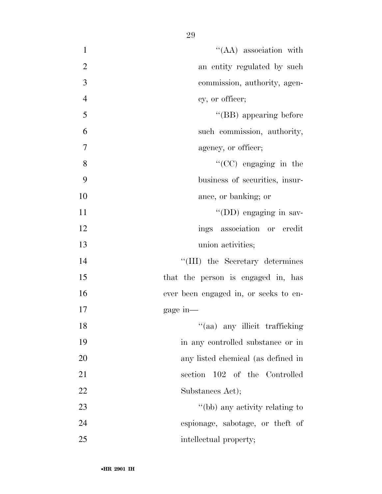1 ''(AA) association with 2 an entity regulated by such 2 commission, authority, agen- cy, or officer; ''(BB) appearing before such commission, authority, agency, or officer; ''(CC) engaging in the business of securities, insur-10 ance, or banking; or 11 ''(DD) engaging in sav- ings association or credit union activities; 14 ''(III) the Secretary determines 15 that the person is engaged in, has ever been engaged in, or seeks to en- gage in— 18 ''(aa) any illicit trafficking in any controlled substance or in any listed chemical (as defined in section 102 of the Controlled 22 Substances Act); 23 ''(bb) any activity relating to espionage, sabotage, or theft of

25 intellectual property;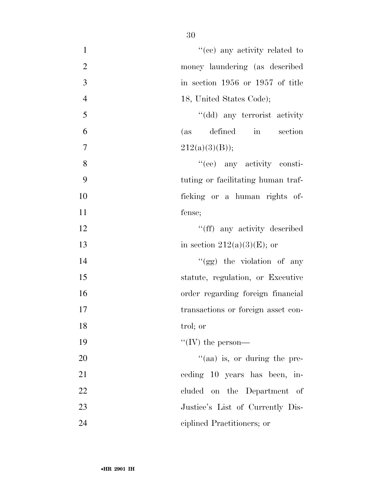| $\mathbf{1}$   | "(ee) any activity related to       |
|----------------|-------------------------------------|
| $\overline{2}$ | money laundering (as described      |
| 3              | in section 1956 or 1957 of title    |
| $\overline{4}$ | 18, United States Code);            |
| 5              | "(dd) any terrorist activity        |
| 6              | defined in section<br>(as)          |
| $\overline{7}$ | 212(a)(3)(B));                      |
| 8              | "(ee) any activity consti-          |
| 9              | tuting or facilitating human traf-  |
| 10             | ficking or a human rights of-       |
| 11             | fense;                              |
| 12             | "(ff) any activity described        |
| 13             | in section $212(a)(3)(E)$ ; or      |
| 14             | " $(gg)$ the violation of any       |
| 15             | statute, regulation, or Executive   |
| 16             | order regarding foreign financial   |
| 17             | transactions or foreign asset con-  |
| 18             | trol; or                            |
| 19             | "(IV) the person—                   |
| 20             | $\cdot$ (aa) is, or during the pre- |
| 21             | ceding 10 years has been, in-       |
| 22             | cluded on the Department of         |
| 23             | Justice's List of Currently Dis-    |
| 24             | ciplined Practitioners; or          |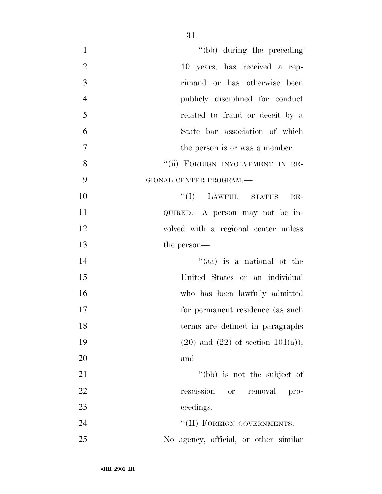| "(bb) during the preceding              |
|-----------------------------------------|
| 10 years, has received a rep-           |
| rimand or has otherwise been            |
| publicly disciplined for conduct        |
| related to fraud or deceit by a         |
| State bar association of which          |
| the person is or was a member.          |
| "(ii) FOREIGN INVOLVEMENT IN RE-        |
| GIONAL CENTER PROGRAM.-                 |
| $``(I)$ LAWFUL STATUS<br>$RE-$          |
| QUIRED.—A person may not be in-         |
| volved with a regional center unless    |
|                                         |
| the person—                             |
| "(aa) is a national of the              |
| United States or an individual          |
| who has been lawfully admitted          |
| for permanent residence (as such        |
| terms are defined in paragraphs         |
| $(20)$ and $(22)$ of section $101(a)$ ; |
| and                                     |
| "(bb) is not the subject of             |
| rescission or<br>removal<br>pro-        |
| ceedings.                               |
| "(II) FOREIGN GOVERNMENTS.-             |
| No agency, official, or other similar   |
|                                         |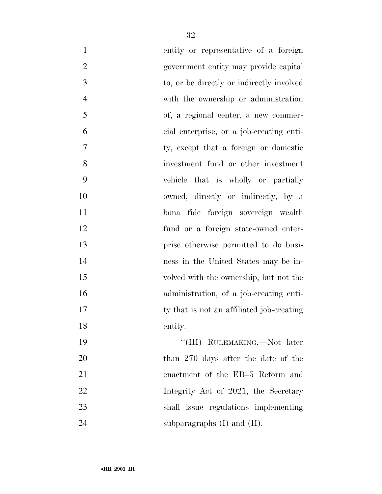| $\mathbf{1}$   | entity or representative of a foreign     |
|----------------|-------------------------------------------|
| $\overline{2}$ | government entity may provide capital     |
| 3              | to, or be directly or indirectly involved |
| $\overline{4}$ | with the ownership or administration      |
| 5              | of, a regional center, a new commer-      |
| 6              | cial enterprise, or a job-creating enti-  |
| 7              | ty, except that a foreign or domestic     |
| 8              | investment fund or other investment       |
| 9              | vehicle that is wholly or partially       |
| 10             | owned, directly or indirectly, by a       |
| 11             | bona fide foreign sovereign wealth        |
| 12             | fund or a foreign state-owned enter-      |
| 13             | prise otherwise permitted to do busi-     |
| 14             | ness in the United States may be in-      |
| 15             | volved with the ownership, but not the    |
| 16             | administration, of a job-creating enti-   |
| 17             | ty that is not an affiliated job-creating |
| 18             | entity.                                   |
| 19             | "(III) RULEMAKING.—Not later              |
| 20             | than 270 days after the date of the       |
| 21             | enactment of the EB-5 Reform and          |
| 22             | Integrity Act of 2021, the Secretary      |
| 23             | shall issue regulations implementing      |
| 24             | subparagraphs $(I)$ and $(II)$ .          |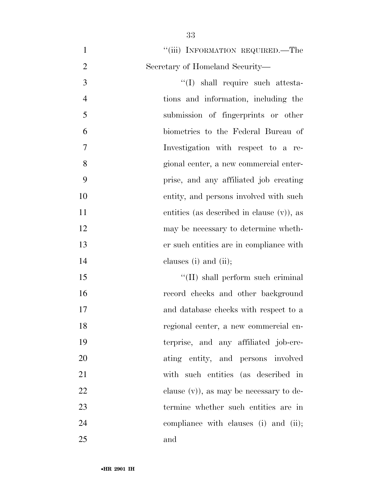| $\mathbf{1}$   | "(iii) INFORMATION REQUIRED.—The             |
|----------------|----------------------------------------------|
| $\overline{2}$ | Secretary of Homeland Security—              |
| 3              | "(I) shall require such attesta-             |
| $\overline{4}$ | tions and information, including the         |
| 5              | submission of fingerprints or other          |
| 6              | biometrics to the Federal Bureau of          |
| $\overline{7}$ | Investigation with respect to a re-          |
| 8              | gional center, a new commercial enter-       |
| 9              | prise, and any affiliated job creating       |
| 10             | entity, and persons involved with such       |
| 11             | entities (as described in clause $(v)$ ), as |
| 12             | may be necessary to determine wheth-         |
| 13             | er such entities are in compliance with      |
| 14             | clauses $(i)$ and $(ii)$ ;                   |
| 15             | "(II) shall perform such criminal            |
| 16             | record checks and other background           |
| 17             | and database checks with respect to a        |
| 18             | regional center, a new commercial en-        |
| 19             | terprise, and any affiliated job-cre-        |
| 20             | ating entity, and persons involved           |
| 21             | with such entities (as described in          |
| 22             | clause $(v)$ , as may be necessary to de-    |
| 23             | termine whether such entities are in         |
| 24             | compliance with clauses (i) and (ii);        |
| 25             | and                                          |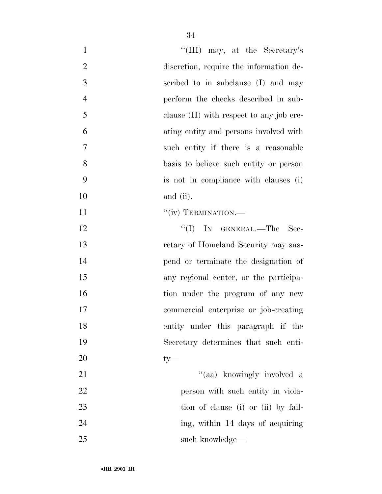| $\mathbf{1}$   | "(III) may, at the Secretary's           |
|----------------|------------------------------------------|
| $\overline{2}$ | discretion, require the information de-  |
| 3              | scribed to in subclause (I) and may      |
| $\overline{4}$ | perform the checks described in sub-     |
| 5              | clause (II) with respect to any job cre- |
| 6              | ating entity and persons involved with   |
| 7              | such entity if there is a reasonable     |
| 8              | basis to believe such entity or person   |
| 9              | is not in compliance with clauses (i)    |
| 10             | and (ii).                                |
| 11             | "(iv) TERMINATION.—                      |
| 12             | "(I) IN GENERAL.—The<br>Sec-             |
| 13             | retary of Homeland Security may sus-     |
| 14             | pend or terminate the designation of     |
| 15             | any regional center, or the participa-   |
| 16             | tion under the program of any new        |
| 17             | commercial enterprise or job-creating    |
| 18             | entity under this paragraph if the       |
| 19             | Secretary determines that such enti-     |
| 20             | $ty-$                                    |
| 21             | "(aa) knowingly involved a               |
| 22             | person with such entity in viola-        |
| 23             | tion of clause (i) or (ii) by fail-      |
| 24             | ing, within 14 days of acquiring         |
| 25             | such knowledge—                          |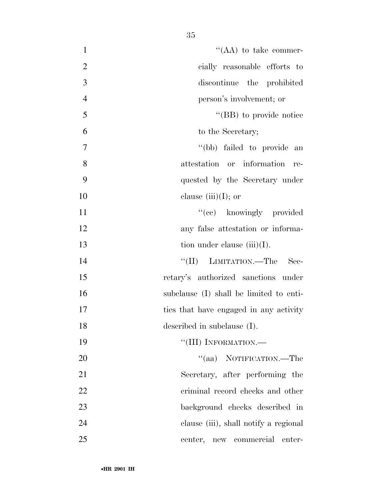| $\mathbf{1}$   | "(AA) to take commer-                   |
|----------------|-----------------------------------------|
| $\overline{2}$ | cially reasonable efforts to            |
| 3              | discontinue the prohibited              |
| $\overline{4}$ | person's involvement; or                |
| 5              | "(BB) to provide notice"                |
| 6              | to the Secretary;                       |
| $\overline{7}$ | "(bb) failed to provide an              |
| 8              | attestation or information re-          |
| 9              | quested by the Secretary under          |
| 10             | clause (iii)(I); or                     |
| 11             | "(cc) knowingly provided                |
| 12             | any false attestation or informa-       |
| 13             | tion under clause $(iii)(I)$ .          |
| 14             | "(II) LIMITATION.—The<br>Sec-           |
| 15             | retary's authorized sanctions under     |
| 16             | subclause (I) shall be limited to enti- |
| 17             | ties that have engaged in any activity  |
| 18             | described in subclause (I).             |
| 19             | "(III) INFORMATION.-                    |
| 20             | "(aa) NOTIFICATION.—The                 |
| 21             | Secretary, after performing the         |
| 22             | criminal record checks and other        |
| 23             | background checks described in          |
| 24             | clause (iii), shall notify a regional   |
| 25             | center, new commercial<br>enter-        |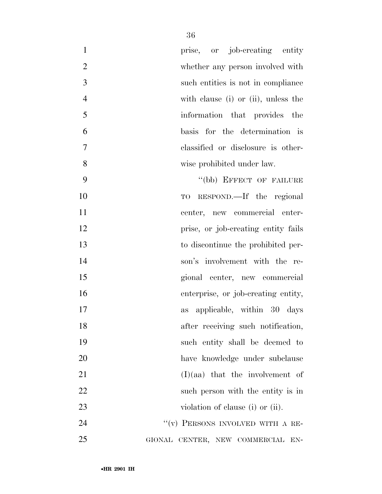| $\mathbf{1}$   | prise, or job-creating entity       |
|----------------|-------------------------------------|
| $\overline{2}$ | whether any person involved with    |
| 3              | such entities is not in compliance  |
| $\overline{4}$ | with clause (i) or (ii), unless the |
| 5              | information that provides the       |
| 6              | basis for the determination is      |
| $\tau$         | classified or disclosure is other-  |
| 8              | wise prohibited under law.          |
| 9              | "(bb) EFFECT OF FAILURE             |
| 10             | TO RESPOND.—If the regional         |
| 11             | center, new commercial enter-       |
| 12             | prise, or job-creating entity fails |
| 13             | to discontinue the prohibited per-  |
| 14             | son's involvement with the re-      |
| 15             | gional center, new commercial       |
| 16             | enterprise, or job-creating entity, |
| 17             | applicable, within 30 days<br>as    |
| 18             | after receiving such notification,  |
| 19             | such entity shall be deemed to      |
| 20             | have knowledge under subclause      |
| 21             | $(I)(aa)$ that the involvement of   |
| 22             | such person with the entity is in   |
| 23             | violation of clause (i) or (ii).    |
| 24             | "(v) PERSONS INVOLVED WITH A RE-    |
| 25             | GIONAL CENTER, NEW COMMERCIAL EN-   |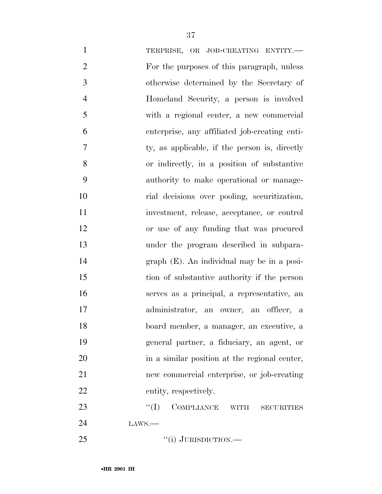| $\mathbf{1}$   | TERPRISE, OR JOB-CREATING ENTITY.-                      |
|----------------|---------------------------------------------------------|
| $\mathfrak{2}$ | For the purposes of this paragraph, unless              |
| 3              | otherwise determined by the Secretary of                |
| $\overline{4}$ | Homeland Security, a person is involved                 |
| 5              | with a regional center, a new commercial                |
| 6              | enterprise, any affiliated job-creating enti-           |
| 7              | ty, as applicable, if the person is, directly           |
| 8              | or indirectly, in a position of substantive             |
| 9              | authority to make operational or manage-                |
| 10             | rial decisions over pooling, securitization,            |
| 11             | investment, release, acceptance, or control             |
| 12             | or use of any funding that was procured                 |
| 13             | under the program described in subpara-                 |
| 14             | $graph$ (E). An individual may be in a posi-            |
| 15             | tion of substantive authority if the person             |
| 16             | serves as a principal, a representative, an             |
| 17             | administrator, an owner, an officer, a                  |
| 18             | board member, a manager, an executive, a                |
| 19             | general partner, a fiduciary, an agent, or              |
| 20             | in a similar position at the regional center,           |
| 21             | new commercial enterprise, or job-creating              |
| 22             | entity, respectively.                                   |
| 23             | COMPLIANCE<br>``(I)<br><b>WITH</b><br><b>SECURITIES</b> |
| 24             | LANS.                                                   |
| 25             | "(i) JURISDICTION.—                                     |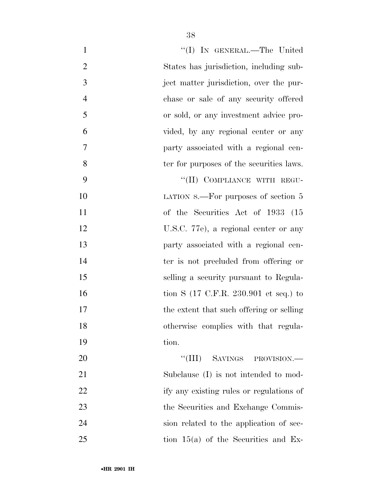| $\mathbf{1}$   | "(I) IN GENERAL.—The United                              |
|----------------|----------------------------------------------------------|
| $\overline{2}$ | States has jurisdiction, including sub-                  |
| 3              | ject matter jurisdiction, over the pur-                  |
| $\overline{4}$ | chase or sale of any security offered                    |
| 5              | or sold, or any investment advice pro-                   |
| 6              | vided, by any regional center or any                     |
| $\overline{7}$ | party associated with a regional cen-                    |
| 8              | ter for purposes of the securities laws.                 |
| 9              | "(II) COMPLIANCE WITH REGU-                              |
| 10             | LATION S.—For purposes of section 5                      |
| 11             | of the Securities Act of 1933 (15                        |
| 12             | U.S.C. 77e), a regional center or any                    |
| 13             | party associated with a regional cen-                    |
| 14             | ter is not precluded from offering or                    |
| 15             | selling a security pursuant to Regula-                   |
| 16             | tion S $(17 \text{ C.F.R. } 230.901 \text{ et seq.})$ to |
| 17             | the extent that such offering or selling                 |
| 18             | otherwise complies with that regula-                     |
| 19             | tion.                                                    |
| 20             | "(III) SAVINGS PROVISION.—                               |
| 21             | Subclause (I) is not intended to mod-                    |
| 22             | ify any existing rules or regulations of                 |
| 23             | the Securities and Exchange Commis-                      |
| 24             | sion related to the application of sec-                  |
| 25             | tion $15(a)$ of the Securities and Ex-                   |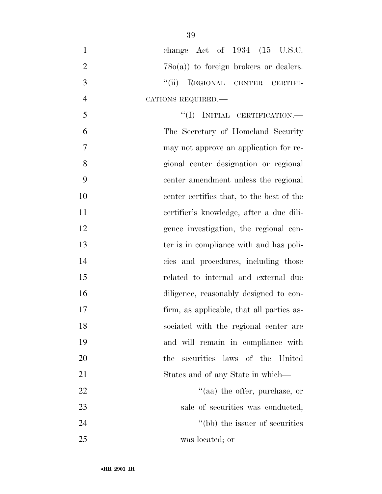| $\mathbf{1}$   | change Act of $1934$ $(15 \text{ U.S.C.})$ |
|----------------|--------------------------------------------|
| $\overline{2}$ | $78o(a)$ to foreign brokers or dealers.    |
| 3              | ``(ii)<br>REGIONAL CENTER CERTIFI-         |
| $\overline{4}$ | CATIONS REQUIRED.                          |
| 5              | $``(I)$ INITIAL CERTIFICATION.—            |
| 6              | The Secretary of Homeland Security         |
| 7              | may not approve an application for re-     |
| 8              | gional center designation or regional      |
| 9              | center amendment unless the regional       |
| 10             | center certifies that, to the best of the  |
| 11             | certifier's knowledge, after a due dili-   |
| 12             | gence investigation, the regional cen-     |
| 13             | ter is in compliance with and has poli-    |
| 14             | cies and procedures, including those       |
| 15             | related to internal and external due       |
| 16             | diligence, reasonably designed to con-     |
| 17             | firm, as applicable, that all parties as-  |
| 18             | sociated with the regional center are      |
| 19             | and will remain in compliance with         |
| 20             | the<br>securities laws of the United       |
| 21             | States and of any State in which—          |
| 22             | $\lq(aa)$ the offer, purchase, or          |
| 23             | sale of securities was conducted;          |
| 24             | "(bb) the issuer of securities             |
| 25             | was located; or                            |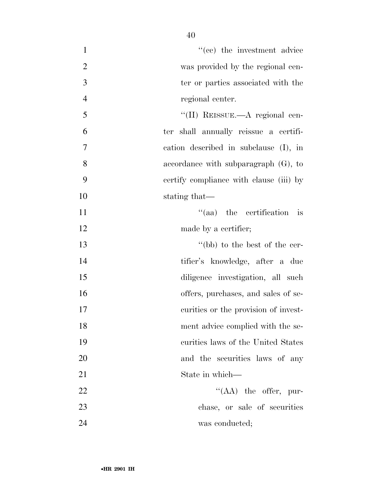| $\mathbf{1}$   | $f''(ee)$ the investment advice          |
|----------------|------------------------------------------|
| $\overline{2}$ | was provided by the regional cen-        |
| 3              | ter or parties associated with the       |
| $\overline{4}$ | regional center.                         |
| 5              | "(II) REISSUE.—A regional cen-           |
| 6              | ter shall annually reissue a certifi-    |
| 7              | cation described in subclause (I), in    |
| 8              | accordance with subparagraph $(G)$ , to  |
| 9              | certify compliance with clause (iii) by  |
| 10             | stating that—                            |
| 11             | "(aa) the certification<br>$\frac{1}{1}$ |
| 12             | made by a certifier;                     |
| 13             | "(bb) to the best of the cer-            |
| 14             | tifier's knowledge, after a due          |
| 15             | diligence investigation, all such        |
| 16             | offers, purchases, and sales of se-      |
| 17             | curities or the provision of invest-     |
| 18             | ment advice complied with the se-        |
| 19             | curities laws of the United States       |
| 20             | and the securities laws of any           |
| 21             | State in which—                          |
| 22             | $\lq\lq (AA)$ the offer, pur-            |
| 23             | chase, or sale of securities             |
| 24             | was conducted;                           |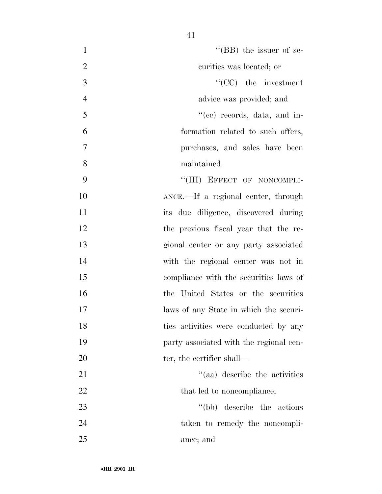- 1 ''(BB) the issuer of se- curities was located; or 3 ''(CC) the investment advice was provided; and ''(cc) records, data, and in- formation related to such offers, purchases, and sales have been maintained. 9 "(III) EFFECT OF NONCOMPLI- ANCE.—If a regional center, through its due diligence, discovered during the previous fiscal year that the re- gional center or any party associated with the regional center was not in compliance with the securities laws of the United States or the securities laws of any State in which the securi-18 ties activities were conducted by any **party** associated with the regional cen-20 ter, the certifier shall— 21 ''(aa) describe the activities 22 that led to noncompliance; 23 ''(bb) describe the actions taken to remedy the noncompli-
	-

ance; and

•**HR 2901 IH**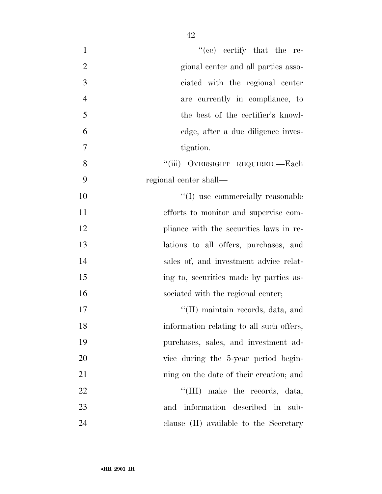| $\mathbf{1}$   | "(cc) certify that the re-                |
|----------------|-------------------------------------------|
| $\overline{2}$ | gional center and all parties asso-       |
| 3              | ciated with the regional center           |
| $\overline{4}$ | are currently in compliance, to           |
| 5              | the best of the certifier's knowl-        |
| 6              | edge, after a due diligence inves-        |
| 7              | tigation.                                 |
| 8              | "(iii) OVERSIGHT REQUIRED.—Each           |
| 9              | regional center shall—                    |
| 10             | "(I) use commercially reasonable          |
| 11             | efforts to monitor and supervise com-     |
| 12             | pliance with the securities laws in re-   |
| 13             | lations to all offers, purchases, and     |
| 14             | sales of, and investment advice relat-    |
| 15             | ing to, securities made by parties as-    |
| 16             | sociated with the regional center;        |
| 17             | $\lq\lq$ (II) maintain records, data, and |
| 18             | information relating to all such offers,  |
| 19             | purchases, sales, and investment ad-      |
| 20             | vice during the 5-year period begin-      |
| 21             | ning on the date of their creation; and   |
| 22             | "(III) make the records, data,            |
| 23             | and information described in sub-         |
| 24             | clause (II) available to the Secretary    |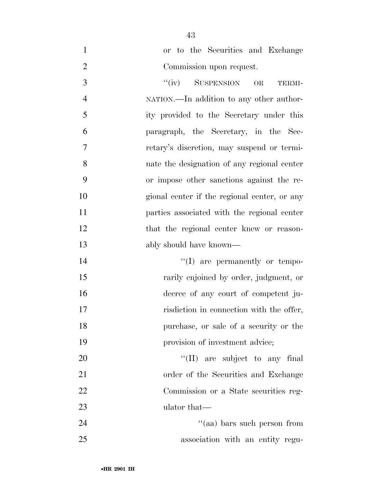or to the Securities and Exchange Commission upon request.

3 "(iv) SUSPENSION OR TERMI- NATION.—In addition to any other author- ity provided to the Secretary under this paragraph, the Secretary, in the Sec- retary's discretion, may suspend or termi- nate the designation of any regional center or impose other sanctions against the re- gional center if the regional center, or any parties associated with the regional center that the regional center knew or reason-ably should have known—

 $\text{``(I)}$  are permanently or tempo- rarily enjoined by order, judgment, or decree of any court of competent ju-17 risdiction in connection with the offer, purchase, or sale of a security or the 19 provision of investment advice;

 $\text{``(II)}$  are subject to any final 21 order of the Securities and Exchange Commission or a State securities reg-ulator that—

24 ''(aa) bars such person from association with an entity regu-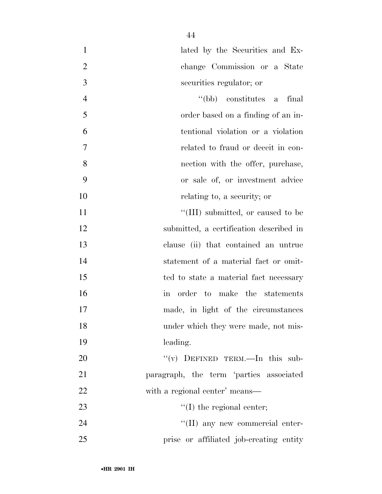| $\mathbf{1}$   | lated by the Securities and Ex-         |
|----------------|-----------------------------------------|
| $\overline{2}$ | change Commission or a State            |
| 3              | securities regulator; or                |
| $\overline{4}$ | "(bb) constitutes a<br>final            |
| 5              | order based on a finding of an in-      |
| 6              | tentional violation or a violation      |
| 7              | related to fraud or deceit in con-      |
| 8              | nection with the offer, purchase,       |
| 9              | or sale of, or investment advice        |
| 10             | relating to, a security; or             |
| 11             | "(III) submitted, or caused to be       |
| 12             | submitted, a certification described in |
| 13             | clause (ii) that contained an untrue    |
| 14             | statement of a material fact or omit-   |
| 15             | ted to state a material fact necessary  |
| 16             | in order to make the statements         |
| 17             | made, in light of the circumstances     |
| 18             | under which they were made, not mis-    |
| 19             | leading.                                |
| 20             | "(v) DEFINED TERM.—In this sub-         |
| 21             | paragraph, the term 'parties associated |
| 22             | with a regional center' means—          |
| 23             | $\lq\lq$ (I) the regional center;       |
| 24             | "(II) any new commercial enter-         |
| 25             | prise or affiliated job-creating entity |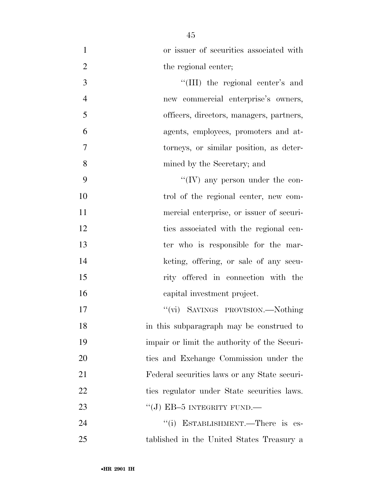| $\mathbf{1}$   | or issuer of securities associated with      |
|----------------|----------------------------------------------|
| $\overline{2}$ | the regional center;                         |
| 3              | "(III) the regional center's and             |
| $\overline{4}$ | new commercial enterprise's owners,          |
| 5              | officers, directors, managers, partners,     |
| 6              | agents, employees, promoters and at-         |
| 7              | torneys, or similar position, as deter-      |
| 8              | mined by the Secretary; and                  |
| 9              | $\lq\lq$ (IV) any person under the con-      |
| 10             | trol of the regional center, new com-        |
| 11             | mercial enterprise, or issuer of securi-     |
| 12             | ties associated with the regional cen-       |
| 13             | ter who is responsible for the mar-          |
| 14             | keting, offering, or sale of any secu-       |
| 15             | rity offered in connection with the          |
| 16             | capital investment project.                  |
| 17             | "(vi) SAVINGS PROVISION.—Nothing             |
| 18             | in this subparagraph may be construed to     |
| 19             | impair or limit the authority of the Securi- |
| 20             | ties and Exchange Commission under the       |
| 21             | Federal securities laws or any State securi- |
| 22             | ties regulator under State securities laws.  |
| 23             | "(J) EB-5 INTEGRITY FUND.—                   |
| 24             | "(i) ESTABLISHMENT.—There is es-             |
| 25             | tablished in the United States Treasury a    |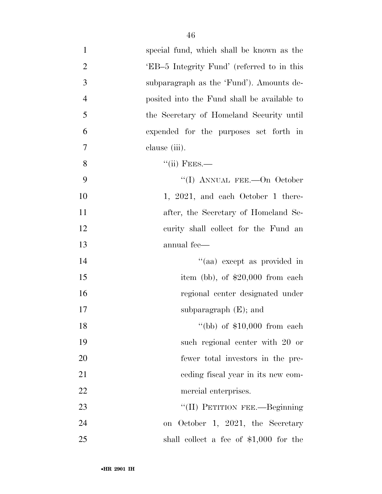| $\mathbf{1}$   | special fund, which shall be known as the   |
|----------------|---------------------------------------------|
| $\overline{2}$ | 'EB-5 Integrity Fund' (referred to in this  |
| $\mathfrak{Z}$ | subparagraph as the 'Fund'). Amounts de-    |
| $\overline{4}$ | posited into the Fund shall be available to |
| 5              | the Secretary of Homeland Security until    |
| 6              | expended for the purposes set forth in      |
| $\tau$         | clause (iii).                               |
| 8              | $``(ii)$ FEES.—                             |
| 9              | "(I) ANNUAL FEE.—On October                 |
| 10             | 1, 2021, and each October 1 there-          |
| 11             | after, the Secretary of Homeland Se-        |
| 12             | curity shall collect for the Fund an        |
| 13             | annual fee—                                 |
| 14             | "(aa) except as provided in                 |
| 15             | item (bb), of $$20,000$ from each           |
| 16             | regional center designated under            |
| 17             | subparagraph $(E)$ ; and                    |
| 18             | "(bb) of $$10,000$ from each                |
| 19             | such regional center with 20 or             |
| 20             | fewer total investors in the pre-           |
| 21             | eeding fiscal year in its new com-          |
| 22             | mercial enterprises.                        |
| 23             | "(II) PETITION FEE.—Beginning               |
| 24             | on October 1, 2021, the Secretary           |
| 25             | shall collect a fee of $$1,000$ for the     |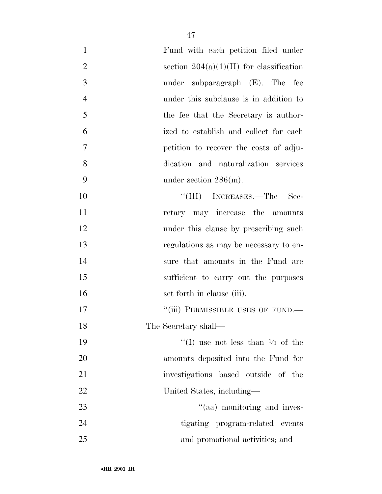| $\mathbf{1}$   | Fund with each petition filed under         |
|----------------|---------------------------------------------|
| $\overline{2}$ | section $204(a)(1)(H)$ for classification   |
| 3              | under subparagraph $(E)$ . The fee          |
| $\overline{4}$ | under this subclause is in addition to      |
| 5              | the fee that the Secretary is author-       |
| 6              | ized to establish and collect for each      |
| 7              | petition to recover the costs of adju-      |
| 8              | dication and naturalization services        |
| 9              | under section $286(m)$ .                    |
| 10             | "(III) INCREASES.—The<br>– Sec-             |
| 11             | retary may increase the amounts             |
| 12             | under this clause by prescribing such       |
| 13             | regulations as may be necessary to en-      |
| 14             | sure that amounts in the Fund are           |
| 15             | sufficient to carry out the purposes        |
| 16             | set forth in clause (iii).                  |
| 17             | "(iii) PERMISSIBLE USES OF FUND.-           |
| 18             | The Secretary shall—                        |
| 19             | "(I) use not less than $\frac{1}{3}$ of the |
| 20             | amounts deposited into the Fund for         |
| 21             | investigations based outside of the         |
| 22             | United States, including—                   |
| 23             | "(aa) monitoring and inves-                 |
| 24             | tigating program-related events             |
| 25             | and promotional activities; and             |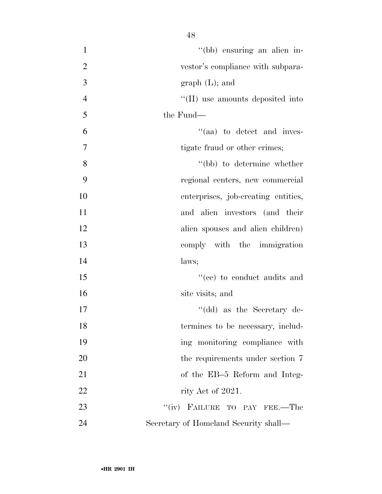| $\mathbf{1}$   | "(bb) ensuring an alien in-             |
|----------------|-----------------------------------------|
| $\overline{2}$ | vestor's compliance with subpara-       |
| 3              | graph (L); and                          |
| $\overline{4}$ | "(II) use amounts deposited into        |
| 5              | the Fund—                               |
| 6              | $\mathcal{L}$ (aa) to detect and inves- |
| $\overline{7}$ | tigate fraud or other crimes;           |
| 8              | "(bb) to determine whether              |
| 9              | regional centers, new commercial        |
| 10             | enterprises, job-creating entities,     |
| 11             | and alien investors (and their          |
| 12             | alien spouses and alien children)       |
| 13             | comply with the immigration             |
| 14             | laws;                                   |
| 15             | "(ee) to conduct audits and             |
| 16             | site visits; and                        |
| 17             | "(dd) as the Secretary de-              |
| 18             | termines to be necessary, includ-       |
| 19             | ing monitoring compliance with          |
| 20             | the requirements under section 7        |
| 21             | of the EB-5 Reform and Integ-           |
| 22             | rity Act of 2021.                       |
| 23             | "(iv) FAILURE TO PAY FEE.—The           |
| 24             | Secretary of Homeland Security shall—   |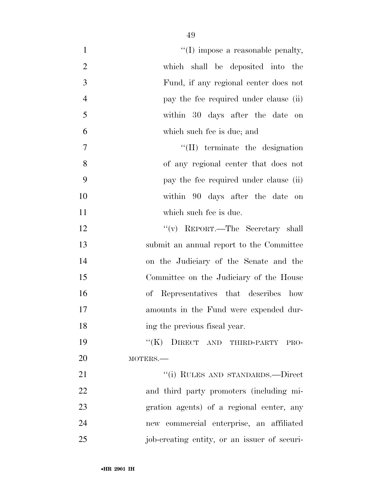| $\mathbf{1}$   | $\lq\lq$ (I) impose a reasonable penalty,    |
|----------------|----------------------------------------------|
| $\overline{2}$ | which shall be deposited into the            |
| 3              | Fund, if any regional center does not        |
| $\overline{4}$ | pay the fee required under clause (ii)       |
| 5              | within 30 days after the date on             |
| 6              | which such fee is due; and                   |
| 7              | $\lq\lq$ (II) terminate the designation      |
| 8              | of any regional center that does not         |
| 9              | pay the fee required under clause (ii)       |
| 10             | within 90 days after the date on             |
| 11             | which such fee is due.                       |
| 12             | "(v) REPORT.—The Secretary shall             |
| 13             | submit an annual report to the Committee     |
| 14             | on the Judiciary of the Senate and the       |
| 15             | Committee on the Judiciary of the House      |
| 16             | of Representatives that describes how        |
| 17             | amounts in the Fund were expended dur-       |
| 18             | ing the previous fiscal year.                |
| 19             | "(K) DIRECT AND THIRD-PARTY PRO-             |
| 20             | MOTERS.-                                     |
| 21             | "(i) RULES AND STANDARDS.—Direct             |
| 22             | and third party promoters (including mi-     |
| 23             | gration agents) of a regional center, any    |
| 24             | new commercial enterprise, an affiliated     |
| 25             | job-creating entity, or an issuer of securi- |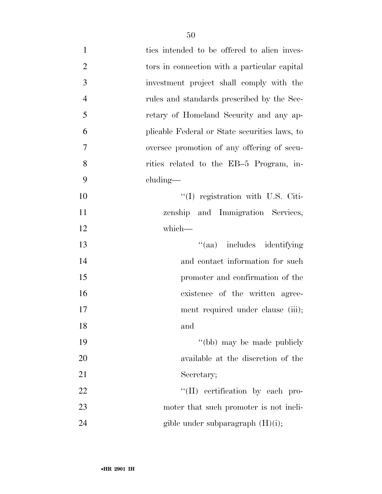| $\mathbf{1}$   | ties intended to be offered to alien inves-   |
|----------------|-----------------------------------------------|
| $\overline{2}$ | tors in connection with a particular capital  |
| 3              | investment project shall comply with the      |
| $\overline{4}$ | rules and standards prescribed by the Sec-    |
| 5              | retary of Homeland Security and any ap-       |
| 6              | plicable Federal or State securities laws, to |
| 7              | oversee promotion of any offering of secu-    |
| 8              | rities related to the EB-5 Program, in-       |
| 9              | $cluding$ —                                   |
| 10             | $\lq(1)$ registration with U.S. Citi-         |
| 11             | zenship and Immigration Services,             |
| 12             | which-                                        |
| 13             | "(aa) includes identifying                    |
| 14             | and contact information for such              |
| 15             | promoter and confirmation of the              |
| 16             | existence of the written agree-               |
| 17             | ment required under clause (iii);             |
| 18             | and                                           |
| 19             | "(bb) may be made publicly                    |
| 20             | available at the discretion of the            |
| 21             | Secretary;                                    |
| 22             | "(II) certification by each pro-              |
| 23             | moter that such promoter is not ineli-        |
| 24             | gible under subparagraph $(H)(i)$ ;           |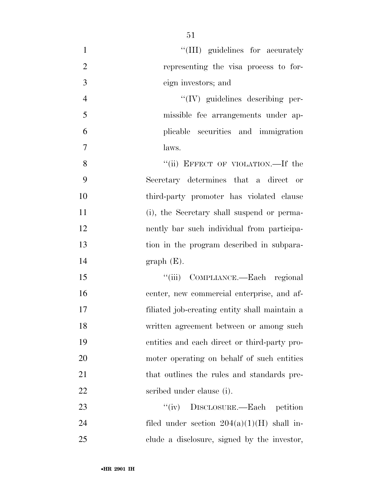| $\mathbf{1}$   | "(III) guidelines for accurately              |
|----------------|-----------------------------------------------|
| $\overline{2}$ | representing the visa process to for-         |
| 3              | eign investors; and                           |
| $\overline{4}$ | $\lq\lq$ (IV) guidelines describing per-      |
| 5              | missible fee arrangements under ap-           |
| 6              | plicable securities and immigration           |
| 7              | laws.                                         |
| 8              | "(ii) EFFECT OF VIOLATION.—If the             |
| 9              | Secretary determines that a direct or         |
| 10             | third-party promoter has violated clause      |
| 11             | (i), the Secretary shall suspend or perma-    |
| 12             | nently bar such individual from participa-    |
| 13             | tion in the program described in subpara-     |
| 14             | graph(E).                                     |
| 15             | "(iii) COMPLIANCE.—Each regional              |
| 16             | center, new commercial enterprise, and af-    |
| 17             | filiated job-creating entity shall maintain a |
| 18             | written agreement between or among such       |
| 19             | entities and each direct or third-party pro-  |
| 20             | moter operating on behalf of such entities    |
| 21             | that outlines the rules and standards pre-    |
| 22             | scribed under clause (i).                     |
| 23             | "(iv) DISCLOSURE.—Each petition               |
| 24             | filed under section $204(a)(1)(H)$ shall in-  |
| 25             | clude a disclosure, signed by the investor,   |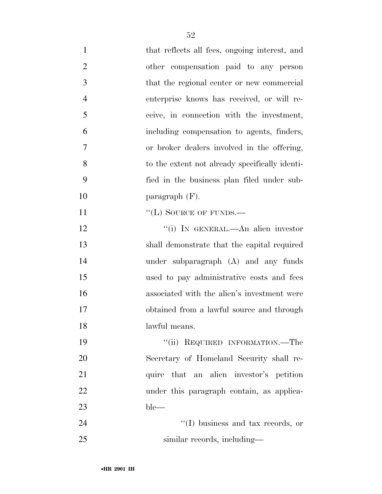| $\mathbf{1}$   | that reflects all fees, ongoing interest, and  |
|----------------|------------------------------------------------|
| $\overline{2}$ | other compensation paid to any person          |
| 3              | that the regional center or new commercial     |
| $\overline{4}$ | enterprise knows has received, or will re-     |
| 5              | ceive, in connection with the investment,      |
| 6              | including compensation to agents, finders,     |
| 7              | or broker dealers involved in the offering,    |
| 8              | to the extent not already specifically identi- |
| 9              | fied in the business plan filed under sub-     |
| 10             | paragraph $(F)$ .                              |
| 11             | "(L) SOURCE OF FUNDS.—                         |
| 12             | "(i) IN GENERAL.—An alien investor             |
| 13             | shall demonstrate that the capital required    |
| 14             | under subparagraph (A) and any funds           |
| 15             | used to pay administrative costs and fees      |
| 16             | associated with the alien's investment were    |
| 17             | obtained from a lawful source and through      |
| 18             | lawful means.                                  |
| 19             | "(ii) REQUIRED INFORMATION.—The                |
| 20             | Secretary of Homeland Security shall re-       |
| 21             | quire that an alien investor's petition        |
| 22             | under this paragraph contain, as applica-      |
| 23             | $ble-$                                         |
| 24             | "(I) business and tax records, or              |
| 25             | similar records, including—                    |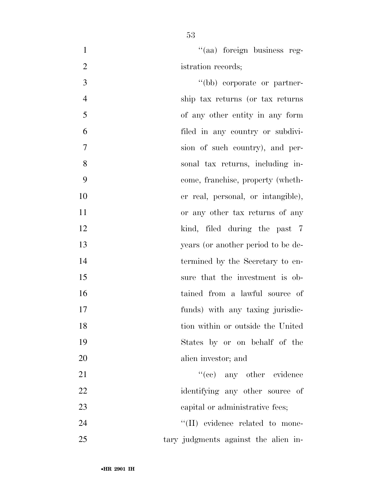1  $''(aa)$  foreign business reg-2 istration records;

 ''(bb) corporate or partner- ship tax returns (or tax returns of any other entity in any form filed in any country or subdivi- sion of such country), and per- sonal tax returns, including in- come, franchise, property (wheth- er real, personal, or intangible), or any other tax returns of any 12 kind, filed during the past 7 years (or another period to be de- termined by the Secretary to en- sure that the investment is ob- tained from a lawful source of funds) with any taxing jurisdic- tion within or outside the United States by or on behalf of the alien investor; and 21 ''(cc) any other evidence 22 identifying any other source of 23 capital or administrative fees;  $\text{``(II)}$  evidence related to mone-

tary judgments against the alien in-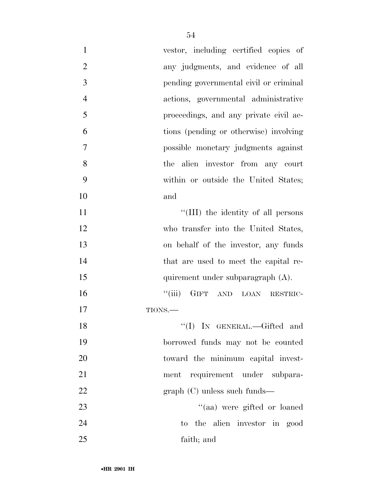| $\mathbf{1}$   | vestor, including certified copies of  |
|----------------|----------------------------------------|
| $\overline{2}$ | any judgments, and evidence of all     |
| 3              | pending governmental civil or criminal |
| $\overline{4}$ | actions, governmental administrative   |
| 5              | proceedings, and any private civil ac- |
| 6              | tions (pending or otherwise) involving |
| $\tau$         | possible monetary judgments against    |
| 8              | the alien investor from any court      |
| 9              | within or outside the United States;   |
| 10             | and                                    |
| 11             | "(III) the identity of all persons     |
| 12             | who transfer into the United States,   |
| 13             | on behalf of the investor, any funds   |
| 14             | that are used to meet the capital re-  |
| 15             | quirement under subparagraph (A).      |
| 16             | "(iii) GIFT AND LOAN RESTRIC-          |
| 17             | TIONS.                                 |
| 18             | "(I) IN GENERAL.—Gifted and            |
| 19             | borrowed funds may not be counted      |
| 20             | toward the minimum capital invest-     |
| 21             | ment requirement under subpara-        |
| 22             | $graph (C)$ unless such funds—         |
| 23             | "(aa) were gifted or loaned            |
| 24             | to the alien investor in good          |
| 25             | faith; and                             |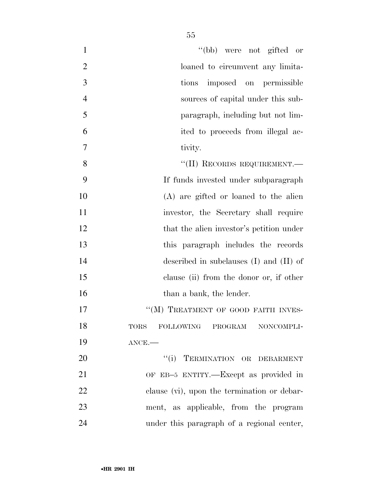| $\mathbf{1}$   | "(bb) were not gifted or                       |
|----------------|------------------------------------------------|
| $\overline{2}$ | loaned to circumvent any limita-               |
| 3              | tions imposed on permissible                   |
| $\overline{4}$ | sources of capital under this sub-             |
| 5              | paragraph, including but not lim-              |
| 6              | ited to proceeds from illegal ac-              |
| $\overline{7}$ | tivity.                                        |
| 8              | "(II) RECORDS REQUIREMENT.-                    |
| 9              | If funds invested under subparagraph           |
| 10             | $(A)$ are gifted or loaned to the alien        |
| 11             | investor, the Secretary shall require          |
| 12             | that the alien investor's petition under       |
| 13             | this paragraph includes the records            |
| 14             | described in subclauses $(I)$ and $(II)$ of    |
| 15             | clause (ii) from the donor or, if other        |
| 16             | than a bank, the lender.                       |
| 17             | "(M) TREATMENT OF GOOD FAITH INVES-            |
| 18             | FOLLOWING<br>PROGRAM NONCOMPLI-<br><b>TORS</b> |
| 19             | $ANCE$ .                                       |
| 20             | "(i) TERMINATION OR DEBARMENT                  |
| 21             | OF EB-5 ENTITY.—Except as provided in          |
| 22             | clause (vi), upon the termination or debar-    |
| 23             | ment, as applicable, from the program          |
| 24             | under this paragraph of a regional center,     |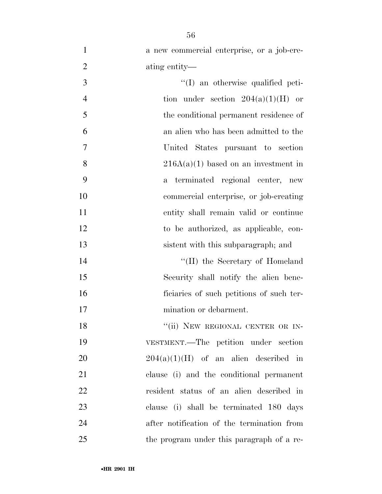| $\mathbf{1}$   | a new commercial enterprise, or a job-cre-      |
|----------------|-------------------------------------------------|
| $\overline{2}$ | ating entity—                                   |
| 3              | "(I) an otherwise qualified peti-               |
| $\overline{4}$ | tion under section $204(a)(1)(H)$ or            |
| 5              | the conditional permanent residence of          |
| 6              | an alien who has been admitted to the           |
| 7              | United States pursuant to section               |
| 8              | $216A(a)(1)$ based on an investment in          |
| 9              | terminated regional center, new<br>$\mathbf{a}$ |
| 10             | commercial enterprise, or job-creating          |
| 11             | entity shall remain valid or continue           |
| 12             | to be authorized, as applicable, con-           |
| 13             | sistent with this subparagraph; and             |
| 14             | "(II) the Secretary of Homeland                 |
| 15             | Security shall notify the alien bene-           |
| 16             | ficiaries of such petitions of such ter-        |
| 17             | mination or debarment.                          |
| 18             | "(ii) NEW REGIONAL CENTER OR IN-                |
| 19             | VESTMENT.—The petition under section            |
| 20             | $204(a)(1)(H)$ of an alien described in         |
| 21             | clause (i) and the conditional permanent        |
| 22             | resident status of an alien described in        |
| 23             | clause (i) shall be terminated 180 days         |
| 24             | after notification of the termination from      |
| 25             | the program under this paragraph of a re-       |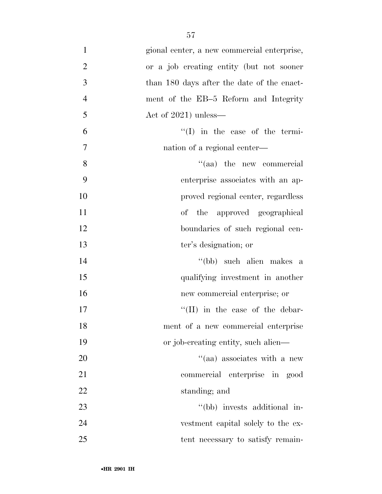| $\mathbf{1}$   | gional center, a new commercial enterprise, |
|----------------|---------------------------------------------|
| $\overline{2}$ | or a job creating entity (but not sooner    |
| 3              | than 180 days after the date of the enact-  |
| $\overline{4}$ | ment of the EB-5 Reform and Integrity       |
| 5              | Act of $2021$ ) unless—                     |
| 6              | $\lq\lq$ (I) in the case of the termi-      |
| $\tau$         | nation of a regional center—                |
| 8              | "(aa) the new commercial                    |
| 9              | enterprise associates with an ap-           |
| 10             | proved regional center, regardless          |
| 11             | of the approved geographical                |
| 12             | boundaries of such regional cen-            |
| 13             | ter's designation; or                       |
| 14             | "(bb) such alien makes a                    |
| 15             | qualifying investment in another            |
| 16             | new commercial enterprise; or               |
| 17             | $\lq\lq$ (II) in the case of the debar-     |
| 18             | ment of a new commercial enterprise         |
| 19             | or job-creating entity, such alien—         |
| 20             | "(aa) associates with a new                 |
| 21             | commercial enterprise in good               |
| 22             | standing; and                               |
| 23             | "(bb) invests additional in-                |
| 24             | vestment capital solely to the ex-          |
| 25             | tent necessary to satisfy remain-           |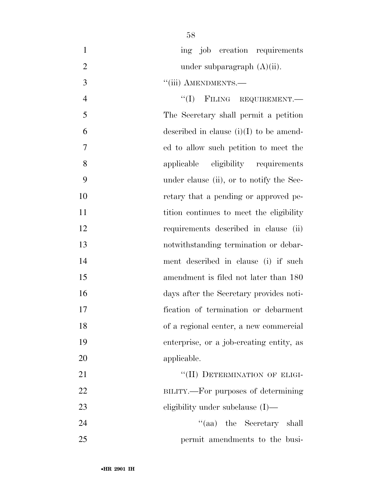| $\mathbf{1}$   | ing job creation requirements             |
|----------------|-------------------------------------------|
| $\overline{2}$ | under subparagraph $(A)(ii)$ .            |
| 3              | "(iii) AMENDMENTS.-                       |
| $\overline{4}$ | "(I) FILING REQUIREMENT.                  |
| 5              | The Secretary shall permit a petition     |
| 6              | described in clause $(i)(I)$ to be amend- |
| 7              | ed to allow such petition to meet the     |
| 8              | applicable eligibility requirements       |
| 9              | under clause (ii), or to notify the Sec-  |
| 10             | retary that a pending or approved pe-     |
| 11             | tition continues to meet the eligibility  |
| 12             | requirements described in clause<br>(ii)  |
| 13             | notwithstanding termination or debar-     |
| 14             | ment described in clause (i) if such      |
| 15             | amendment is filed not later than 180     |
| 16             | days after the Secretary provides noti-   |
| 17             | fication of termination or debarment      |
| 18             | of a regional center, a new commercial    |
| 19             | enterprise, or a job-creating entity, as  |
| 20             | applicable.                               |
| 21             | "(II) DETERMINATION OF ELIGI-             |
| 22             | BILITY.—For purposes of determining       |
| 23             | eligibility under subclause $(I)$ —       |
| 24             | "(aa) the Secretary shall                 |
| 25             | permit amendments to the busi-            |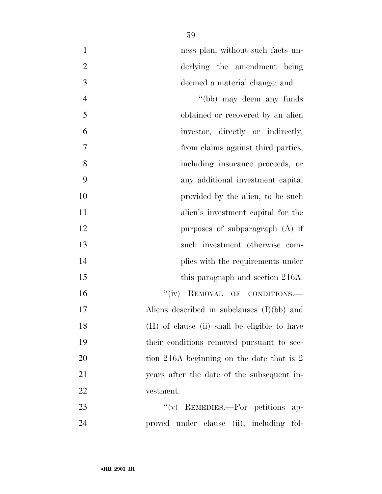|               | ness plan, without such facts un- |
|---------------|-----------------------------------|
|               | derlying the amendment being      |
| $\mathcal{R}$ | deemed a material change; and     |

| 4      | "(bb) may deem any funds                      |
|--------|-----------------------------------------------|
| 5      | obtained or recovered by an alien             |
| 6      | investor, directly or indirectly,             |
| $\tau$ | from claims against third parties,            |
| 8      | including insurance proceeds, or              |
| 9      | any additional investment capital             |
| 10     | provided by the alien, to be such             |
| 11     | alien's investment capital for the            |
| 12     | purposes of subparagraph $(A)$ if             |
| 13     | such investment otherwise com-                |
| 14     | plies with the requirements under             |
| 15     | this paragraph and section 216A.              |
| 16     | ``(iv)<br>REMOVAL OF CONDITIONS.              |
| 17     | Aliens described in subclauses $(I)(bb)$ and  |
| 18     | (II) of clause (ii) shall be eligible to have |
| 19     | their conditions removed pursuant to sec-     |
| 20     | tion 216A beginning on the date that is 2     |
| 21     | years after the date of the subsequent in-    |
| 22     | vestment.                                     |
|        |                                               |

23 "(v) REMEDIES.—For petitions ap-proved under clause (ii), including fol-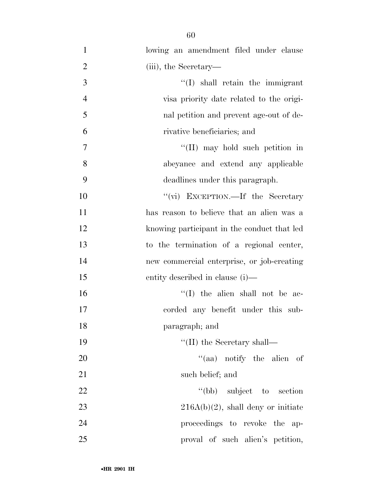| $\mathbf{1}$   | lowing an amendment filed under clause      |
|----------------|---------------------------------------------|
| $\overline{2}$ | (iii), the Secretary—                       |
| 3              | $\lq\lq$ shall retain the immigrant         |
| $\overline{4}$ | visa priority date related to the origi-    |
| 5              | nal petition and prevent age-out of de-     |
| 6              | rivative beneficiaries; and                 |
| $\overline{7}$ | "(II) may hold such petition in             |
| 8              | abeyance and extend any applicable          |
| 9              | deadlines under this paragraph.             |
| 10             | "(vi) EXCEPTION.—If the Secretary           |
| 11             | has reason to believe that an alien was a   |
| 12             | knowing participant in the conduct that led |
| 13             | to the termination of a regional center,    |
| 14             | new commercial enterprise, or job-creating  |
| 15             | entity described in clause (i)—             |
| 16             | $\lq\lq$ (I) the alien shall not be ac-     |
| 17             | corded any benefit under this sub-          |
| 18             | paragraph; and                              |
| 19             | $\lq\lq$ (II) the Secretary shall—          |
| 20             | "(aa) notify the alien of                   |
| 21             | such belief; and                            |
| 22             | "(bb) subject to section                    |
| 23             | $216A(b)(2)$ , shall deny or initiate       |
| 24             | proceedings to revoke the<br>$ap-$          |
| 25             | proval of such alien's petition,            |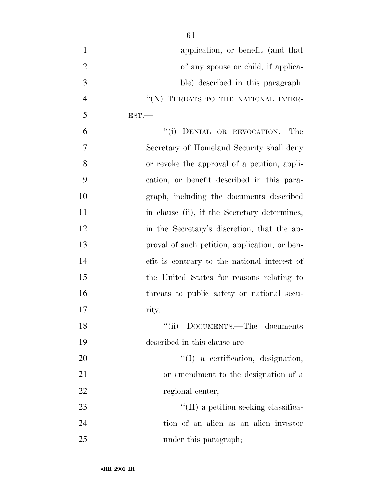| $\mathbf{1}$   | application, or benefit (and that             |
|----------------|-----------------------------------------------|
| $\overline{2}$ | of any spouse or child, if applica-           |
| 3              | ble) described in this paragraph.             |
| $\overline{4}$ | "(N) THREATS TO THE NATIONAL INTER-           |
| 5              | EST.                                          |
| 6              | "(i) DENIAL OR REVOCATION.—The                |
| 7              | Secretary of Homeland Security shall deny     |
| 8              | or revoke the approval of a petition, appli-  |
| 9              | cation, or benefit described in this para-    |
| 10             | graph, including the documents described      |
| 11             | in clause (ii), if the Secretary determines,  |
| 12             | in the Secretary's discretion, that the ap-   |
| 13             | proval of such petition, application, or ben- |
| 14             | efit is contrary to the national interest of  |
| 15             | the United States for reasons relating to     |
| 16             | threats to public safety or national secu-    |
| 17             | rity.                                         |
| 18             | DOCUMENTS.—The documents                      |
| 19             | described in this clause are—                 |
| 20             | $\lq(1)$ a certification, designation,        |
| 21             | or amendment to the designation of a          |
| 22             | regional center;                              |
| 23             | $\lq\lq$ (II) a petition seeking classifica-  |
| 24             | tion of an alien as an alien investor         |
| 25             | under this paragraph;                         |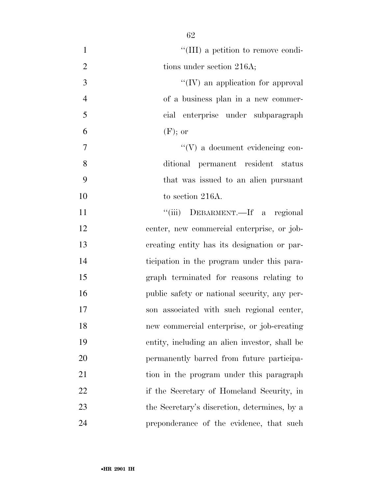| $\mathbf{1}$   | "(III) a petition to remove condi-            |
|----------------|-----------------------------------------------|
| $\overline{2}$ | tions under section 216A;                     |
| 3              | $\lq\lq (IV)$ an application for approval     |
| $\overline{4}$ | of a business plan in a new commer-           |
| 5              | cial enterprise under subparagraph            |
| 6              | $(F)$ ; or                                    |
| 7              | $\lq\lq(V)$ a document evidencing con-        |
| 8              | ditional permanent resident status            |
| 9              | that was issued to an alien pursuant          |
| 10             | to section 216A.                              |
| 11             | "(iii) DEBARMENT.—If a regional               |
| 12             | center, new commercial enterprise, or job-    |
| 13             | creating entity has its designation or par-   |
| 14             | ticipation in the program under this para-    |
| 15             | graph terminated for reasons relating to      |
| 16             | public safety or national security, any per-  |
| 17             | son associated with such regional center,     |
| 18             | new commercial enterprise, or job-creating    |
| 19             | entity, including an alien investor, shall be |
| 20             | permanently barred from future participa-     |
| 21             | tion in the program under this paragraph      |
| 22             | if the Secretary of Homeland Security, in     |
| 23             | the Secretary's discretion, determines, by a  |
| 24             | preponderance of the evidence, that such      |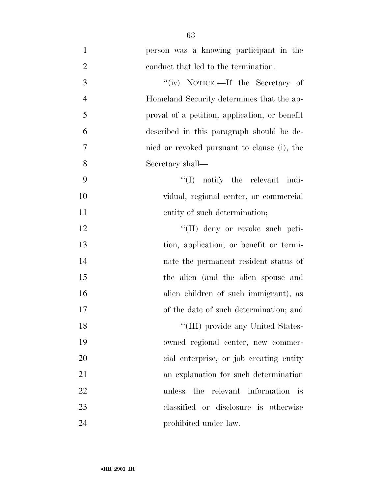| $\mathbf{1}$   | person was a knowing participant in the       |
|----------------|-----------------------------------------------|
| $\overline{2}$ | conduct that led to the termination.          |
| $\mathfrak{Z}$ | "(iv) NOTICE.—If the Secretary of             |
| $\overline{4}$ | Homeland Security determines that the ap-     |
| 5              | proval of a petition, application, or benefit |
| 6              | described in this paragraph should be de-     |
| $\tau$         | nied or revoked pursuant to clause (i), the   |
| 8              | Secretary shall—                              |
| 9              | $\lq\lq$ notify the relevant indi-            |
| 10             | vidual, regional center, or commercial        |
| 11             | entity of such determination;                 |
| 12             | $\lq\lq$ (II) deny or revoke such peti-       |
| 13             | tion, application, or benefit or termi-       |
| 14             | nate the permanent resident status of         |
| 15             | the alien (and the alien spouse and           |
| 16             | alien children of such immigrant), as         |
| 17             | of the date of such determination; and        |
| 18             | "(III) provide any United States-             |
| 19             | owned regional center, new commer-            |
| 20             | cial enterprise, or job creating entity       |
| 21             | an explanation for such determination         |
| 22             | unless the relevant information is            |
| 23             | classified or disclosure is otherwise         |
| 24             | prohibited under law.                         |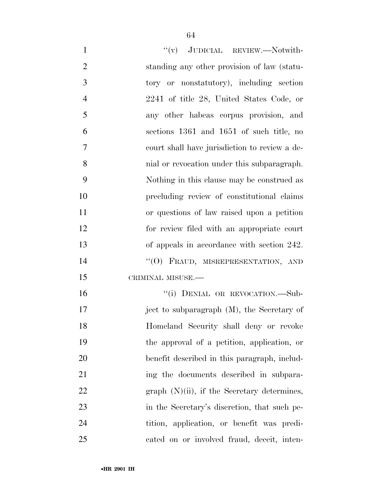| $\mathbf{1}$   | "(v) JUDICIAL REVIEW.—Notwith-                 |
|----------------|------------------------------------------------|
| $\overline{2}$ | standing any other provision of law (statu-    |
| 3              | tory or nonstatutory), including section       |
| $\overline{4}$ | 2241 of title 28, United States Code, or       |
| 5              | any other habeas corpus provision, and         |
| 6              | sections 1361 and 1651 of such title, no       |
| $\overline{7}$ | court shall have jurisdiction to review a de-  |
| 8              | mial or revocation under this subparagraph.    |
| 9              | Nothing in this clause may be construed as     |
| 10             | precluding review of constitutional claims     |
| 11             | or questions of law raised upon a petition     |
| 12             | for review filed with an appropriate court     |
| 13             | of appeals in accordance with section 242.     |
| 14             | "(O) FRAUD, MISREPRESENTATION, AND             |
| 15             | CRIMINAL MISUSE.-                              |
| 16             | "(i) DENIAL OR REVOCATION.-Sub-                |
| 17             | ject to subparagraph (M), the Secretary of     |
| 18             | Homeland Security shall deny or revoke         |
| 19             | the approval of a petition, application, or    |
| 20             | benefit described in this paragraph, includ-   |
| 21             | ing the documents described in subpara-        |
| 22             | graph $(N)(ii)$ , if the Secretary determines, |
| 23             | in the Secretary's discretion, that such pe-   |
| 24             | tition, application, or benefit was predi-     |
| 25             | cated on or involved fraud, deceit, inten-     |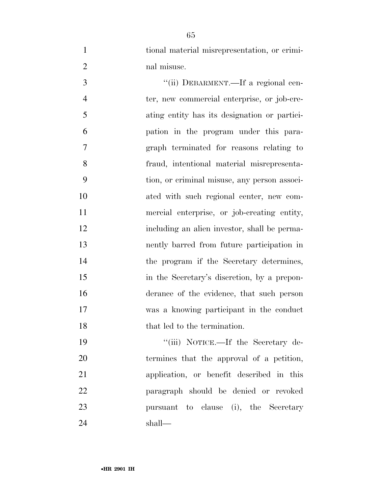| tional material misrepresentation, or crimi- |
|----------------------------------------------|
| nal misuse.                                  |

 $"(*ii*) DEBARMENT.—If a regional cen-$  ter, new commercial enterprise, or job-cre- ating entity has its designation or partici- pation in the program under this para- graph terminated for reasons relating to fraud, intentional material misrepresenta- tion, or criminal misuse, any person associ- ated with such regional center, new com- mercial enterprise, or job-creating entity, including an alien investor, shall be perma- nently barred from future participation in the program if the Secretary determines, in the Secretary's discretion, by a prepon- derance of the evidence, that such person was a knowing participant in the conduct 18 that led to the termination.

19 ''(iii) NOTICE.—If the Secretary de- termines that the approval of a petition, application, or benefit described in this paragraph should be denied or revoked pursuant to clause (i), the Secretary shall—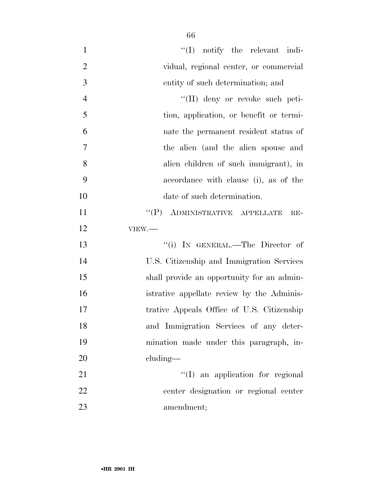| $\mathbf{1}$   | $\lq\lq$ notify the relevant indi-         |
|----------------|--------------------------------------------|
| $\overline{2}$ | vidual, regional center, or commercial     |
| $\mathfrak{Z}$ | entity of such determination; and          |
| $\overline{4}$ | "(II) deny or revoke such peti-            |
| 5              | tion, application, or benefit or termi-    |
| 6              | nate the permanent resident status of      |
| $\overline{7}$ | the alien (and the alien spouse and        |
| 8              | alien children of such immigrant), in      |
| 9              | accordance with clause (i), as of the      |
| 10             | date of such determination.                |
| 11             | "(P) ADMINISTRATIVE APPELLATE<br>$RE-$     |
| 12             | VIEW.                                      |
| 13             | "(i) IN GENERAL.—The Director of           |
| 14             | U.S. Citizenship and Immigration Services  |
| 15             | shall provide an opportunity for an admin- |
| 16             | istrative appellate review by the Adminis- |
| 17             | trative Appeals Office of U.S. Citizenship |
| 18             | and Immigration Services of any deter-     |
| 19             | mination made under this paragraph, in-    |
| 20             | cluding—                                   |
| 21             | "(I) an application for regional           |
| 22             | center designation or regional center      |
| 23             | amendment;                                 |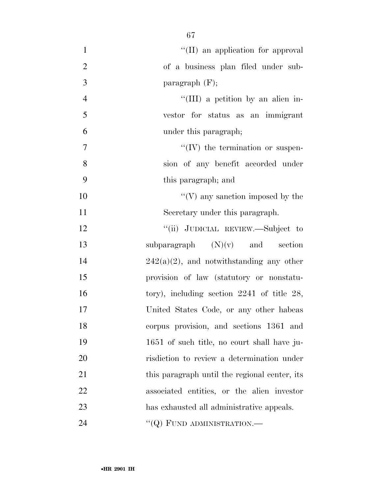| $\mathbf{1}$   | "(II) an application for approval               |
|----------------|-------------------------------------------------|
| $\mathbf{2}$   | of a business plan filed under sub-             |
| 3              | paragraph $(F)$ ;                               |
| $\overline{4}$ | "(III) a petition by an alien in-               |
| 5              | vestor for status as an immigrant               |
| 6              | under this paragraph;                           |
| 7              | $\lq\lq (IV)$ the termination or suspen-        |
| 8              | sion of any benefit accorded under              |
| 9              | this paragraph; and                             |
| 10             | $\lq\lq(V)$ any sanction imposed by the         |
| 11             | Secretary under this paragraph.                 |
| 12             | "(ii) JUDICIAL REVIEW.—Subject to               |
| 13             | subparagraph $(N)(v)$ and section               |
| 14             | $242(a)(2)$ , and notwithstanding any other     |
| 15             | provision of law (statutory or nonstatu-        |
| 16             | tory), including section $2241$ of title $28$ , |
| 17             | United States Code, or any other habeas         |
| 18             | corpus provision, and sections 1361 and         |
| 19             | 1651 of such title, no court shall have ju-     |
| 20             | risdiction to review a determination under      |
| 21             | this paragraph until the regional center, its   |
| 22             | associated entities, or the alien investor      |
| 23             | has exhausted all administrative appeals.       |
| 24             | "( $Q$ ) FUND ADMINISTRATION.—                  |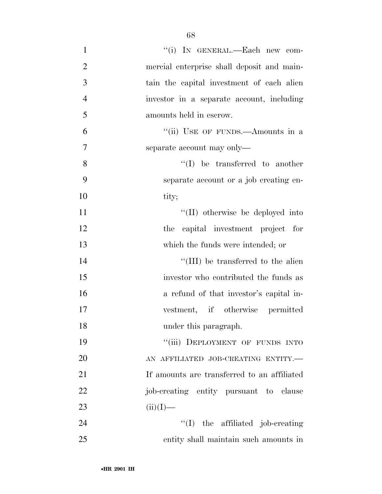| $\mathbf{1}$   | "(i) IN GENERAL.—Each new com-              |
|----------------|---------------------------------------------|
| $\overline{2}$ | mercial enterprise shall deposit and main-  |
| 3              | tain the capital investment of each alien   |
| $\overline{4}$ | investor in a separate account, including   |
| 5              | amounts held in escrow.                     |
| 6              | "(ii) USE OF FUNDS.—Amounts in a            |
| $\overline{7}$ | separate account may only—                  |
| 8              | $\lq\lq$ be transferred to another          |
| 9              | separate account or a job creating en-      |
| 10             | tity;                                       |
| 11             | "(II) otherwise be deployed into            |
| 12             | the capital investment project for          |
| 13             | which the funds were intended; or           |
| 14             | "(III) be transferred to the alien          |
| 15             | investor who contributed the funds as       |
| 16             | a refund of that investor's capital in-     |
| 17             | vestment, if otherwise permitted            |
| 18             | under this paragraph.                       |
| 19             | "(iii) DEPLOYMENT OF FUNDS INTO             |
| 20             | AN AFFILIATED JOB-CREATING ENTITY.-         |
| 21             | If amounts are transferred to an affiliated |
| 22             | job-creating entity pursuant to clause      |
| 23             | $(ii)(I)$ —                                 |
| 24             | $\lq\lq$ (I) the affiliated job-creating    |
| 25             | entity shall maintain such amounts in       |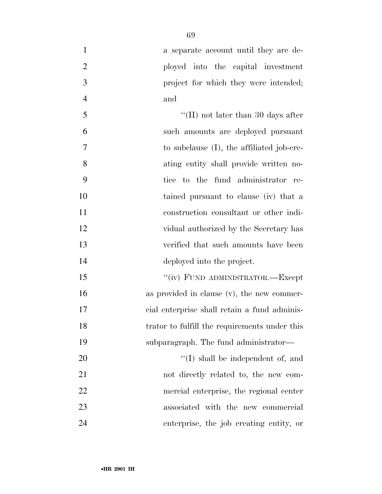| $\mathbf{1}$   | a separate account until they are de-         |
|----------------|-----------------------------------------------|
| $\overline{2}$ | ployed into the capital investment            |
| 3              | project for which they were intended;         |
| $\overline{4}$ | and                                           |
| 5              | "(II) not later than 30 days after            |
| 6              | such amounts are deployed pursuant            |
| 7              | to subclause $(I)$ , the affiliated job-cre-  |
| 8              | ating entity shall provide written no-        |
| 9              | tice to the fund administrator re-            |
| 10             | tained pursuant to clause (iv) that a         |
| 11             | construction consultant or other indi-        |
| 12             | vidual authorized by the Secretary has        |
| 13             | verified that such amounts have been          |
| 14             | deployed into the project.                    |
| 15             | "(iv) FUND ADMINISTRATOR.—Except              |
| 16             | as provided in clause $(v)$ , the new commer- |
| 17             | cial enterprise shall retain a fund adminis-  |
| 18             | trator to fulfill the requirements under this |
| 19             | subparagraph. The fund administrator—         |
| 20             | $\lq\lq$ (I) shall be independent of, and     |
| 21             | not directly related to, the new com-         |
| 22             | mercial enterprise, the regional center       |
| 23             | associated with the new commercial            |
| 24             | enterprise, the job creating entity, or       |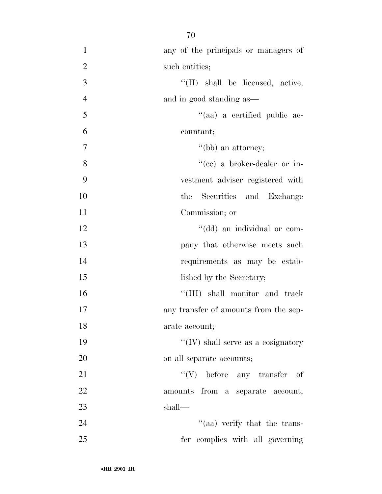| $\mathbf{1}$   | any of the principals or managers of  |
|----------------|---------------------------------------|
| $\overline{2}$ | such entities;                        |
| 3              | "(II) shall be licensed, active,      |
| $\overline{4}$ | and in good standing as—              |
| 5              | "(aa) a certified public ac-          |
| 6              | countant;                             |
| $\tau$         | $\lq\lq(bb)$ an attorney;             |
| 8              | "(cc) a broker-dealer or in-          |
| 9              | vestment adviser registered with      |
| 10             | the Securities and Exchange           |
| 11             | Commission; or                        |
| 12             | "(dd) an individual or com-           |
| 13             | pany that otherwise meets such        |
| 14             | requirements as may be estab-         |
| 15             | lished by the Secretary;              |
| 16             | "(III) shall monitor and track        |
| 17             | any transfer of amounts from the sep- |
| 18             | arate account;                        |
| 19             | "(IV) shall serve as a cosignatory    |
| 20             | on all separate accounts;             |
| 21             | $``(V)$ before any transfer of        |
| 22             | amounts from a separate account,      |
| 23             | shall—                                |
| 24             | "(aa) verify that the trans-          |
| 25             | fer complies with all governing       |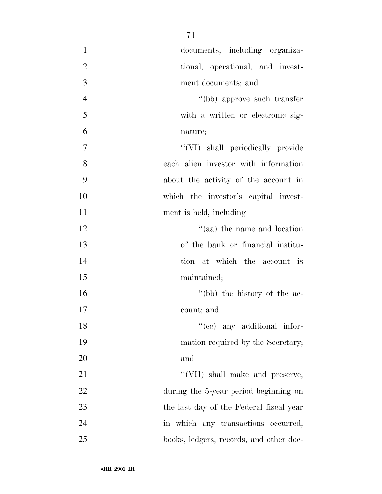| $\mathbf{1}$   | documents, including organiza-          |
|----------------|-----------------------------------------|
| $\overline{2}$ | tional, operational, and invest-        |
| 3              | ment documents; and                     |
| $\overline{4}$ | "(bb) approve such transfer             |
| 5              | with a written or electronic sig-       |
| 6              | nature;                                 |
| $\tau$         | "(VI) shall periodically provide        |
| 8              | each alien investor with information    |
| 9              | about the activity of the account in    |
| 10             | which the investor's capital invest-    |
| 11             | ment is held, including—                |
| 12             | "(aa) the name and location             |
| 13             | of the bank or financial institu-       |
| 14             | tion at which the account is            |
| 15             | maintained;                             |
| 16             | "(bb) the history of the ac-            |
| 17             | count; and                              |
| 18             | $f'(ce)$ any additional infor-          |
| 19             | mation required by the Secretary;       |
| 20             | and                                     |
| 21             | "(VII) shall make and preserve,         |
| 22             | during the 5-year period beginning on   |
| 23             | the last day of the Federal fiscal year |
| 24             | in which any transactions occurred,     |
| 25             | books, ledgers, records, and other doc- |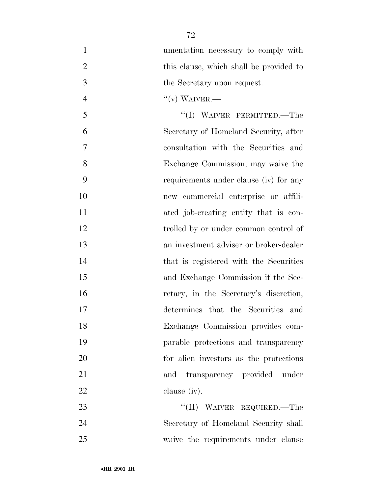| $\mathbf{1}$   | umentation necessary to comply with                            |
|----------------|----------------------------------------------------------------|
| 2              | this clause, which shall be provided to                        |
| $\overline{3}$ | the Secretary upon request.                                    |
| $\overline{4}$ | $``(v)$ WAIVER.—                                               |
| 5              | "(I) WAIVER PERMITTED.—The                                     |
| 6              | Secretary of Homeland Security, after                          |
| 7              | consultation with the Securities and                           |
| 8              | Exchange Commission, may waive the                             |
| $\mathbf Q$    | requirements under clause (iv) for any                         |
| $\Omega$       | $\mathbf{r}$ are comparable onto $\mathbf{r}$ and $\mathbf{r}$ |

| 9  | requirements under clause (iv) for any |
|----|----------------------------------------|
| 10 | new commercial enterprise or affili-   |
| 11 | ated job-creating entity that is con-  |
| 12 | trolled by or under common control of  |
| 13 | an investment adviser or broker-dealer |
| 14 | that is registered with the Securities |
| 15 | and Exchange Commission if the Sec-    |
| 16 | retary, in the Secretary's discretion, |
| 17 | determines that the Securities and     |
| 18 | Exchange Commission provides com-      |
| 19 | parable protections and transparency   |
| 20 | for alien investors as the protections |
| 21 | and transparency provided under        |

23 ''(II) WAIVER REQUIRED.—The Secretary of Homeland Security shall waive the requirements under clause

clause (iv).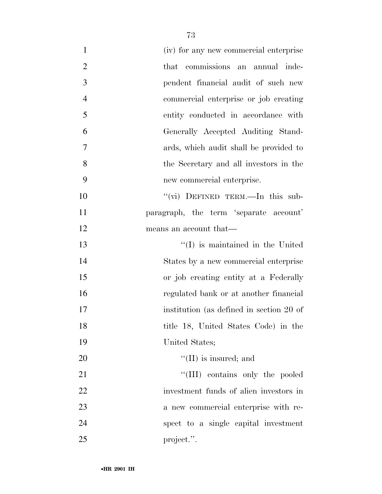| $\mathbf{1}$   | (iv) for any new commercial enterprise   |
|----------------|------------------------------------------|
| $\overline{2}$ | that commissions an annual inde-         |
| 3              | pendent financial audit of such new      |
| $\overline{4}$ | commercial enterprise or job creating    |
| 5              | entity conducted in accordance with      |
| 6              | Generally Accepted Auditing Stand-       |
| $\overline{7}$ | ards, which audit shall be provided to   |
| 8              | the Secretary and all investors in the   |
| 9              | new commercial enterprise.               |
| 10             | "(vi) DEFINED TERM.—In this sub-         |
| 11             | paragraph, the term 'separate account'   |
| 12             | means an account that—                   |
| 13             | $\lq\lq$ (I) is maintained in the United |
| 14             | States by a new commercial enterprise    |
| 15             | or job creating entity at a Federally    |
| 16             | regulated bank or at another financial   |
| 17             | institution (as defined in section 20 of |
| 18             | title 18, United States Code) in the     |
| 19             | United States;                           |
| 20             | $\lq\lq$ (II) is insured; and            |
| 21             | "(III) contains only the pooled          |
| 22             | investment funds of alien investors in   |
| 23             | a new commercial enterprise with re-     |
| 24             | spect to a single capital investment     |
| 25             | project.".                               |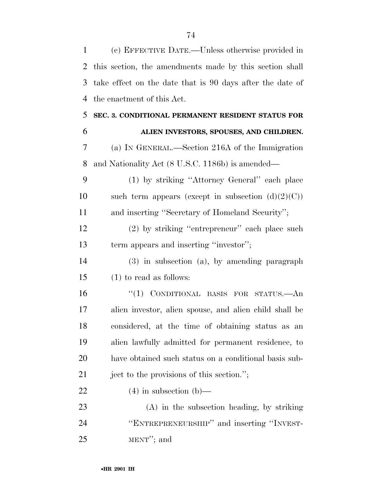(c) EFFECTIVE DATE.—Unless otherwise provided in this section, the amendments made by this section shall take effect on the date that is 90 days after the date of the enactment of this Act. **SEC. 3. CONDITIONAL PERMANENT RESIDENT STATUS FOR ALIEN INVESTORS, SPOUSES, AND CHILDREN.**  (a) IN GENERAL.—Section 216A of the Immigration and Nationality Act (8 U.S.C. 1186b) is amended— (1) by striking ''Attorney General'' each place 10 such term appears (except in subsection  $(d)(2)(C)$ ) and inserting ''Secretary of Homeland Security''; (2) by striking ''entrepreneur'' each place such term appears and inserting ''investor''; (3) in subsection (a), by amending paragraph (1) to read as follows: ''(1) CONDITIONAL BASIS FOR STATUS.—An alien investor, alien spouse, and alien child shall be considered, at the time of obtaining status as an alien lawfully admitted for permanent residence, to have obtained such status on a conditional basis sub- ject to the provisions of this section.''; 22 (4) in subsection (b)— (A) in the subsection heading, by striking ''ENTREPRENEURSHIP'' and inserting ''INVEST-MENT''; and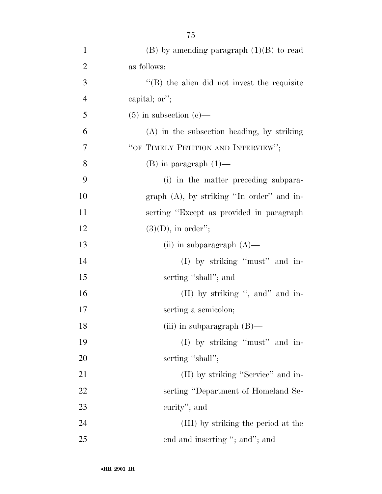| $\mathbf{1}$   | $(B)$ by amending paragraph $(1)(B)$ to read        |
|----------------|-----------------------------------------------------|
| $\overline{2}$ | as follows:                                         |
| 3              | $\lq\lq$ (B) the alien did not invest the requisite |
| $\overline{4}$ | capital; or";                                       |
| 5              | $(5)$ in subsection $(e)$ —                         |
| 6              | (A) in the subsection heading, by striking          |
| 7              | "OF TIMELY PETITION AND INTERVIEW";                 |
| 8              | $(B)$ in paragraph $(1)$ —                          |
| 9              | (i) in the matter preceding subpara-                |
| 10             | graph $(A)$ , by striking "In order" and in-        |
| 11             | serting "Except as provided in paragraph"           |
| 12             | $(3)(D)$ , in order";                               |
| 13             | (ii) in subparagraph $(A)$ —                        |
| 14             | $(I)$ by striking "must" and in-                    |
| 15             | serting "shall"; and                                |
| 16             | (II) by striking ", and" and in-                    |
| 17             | serting a semicolon;                                |
| 18             | (iii) in subparagraph $(B)$ —                       |
| 19             | (I) by striking "must" and in-                      |
| 20             | serting "shall";                                    |
| 21             | (II) by striking "Service" and in-                  |
| 22             | serting "Department of Homeland Se-                 |
| 23             | curity"; and                                        |
| 24             | (III) by striking the period at the                 |
| 25             | end and inserting "; and"; and                      |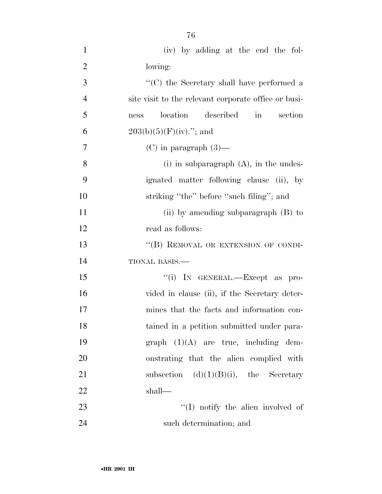(iv) by adding at the end the fol- lowing: ''(C) the Secretary shall have performed a site visit to the relevant corporate office or busi- ness location described in section 6 203(b)(5)(F)(iv)."; and 7 (C) in paragraph  $(3)$ — (i) in subparagraph (A), in the undes- ignated matter following clause (ii), by 10 striking "the" before "such filing"; and 11 (ii) by amending subparagraph (B) to read as follows: 13 "(B) REMOVAL OR EXTENSION OF CONDI- TIONAL BASIS.— 15  $\text{``(i)}$  In GENERAL.—Except as pro-16 vided in clause (ii), if the Secretary deter- mines that the facts and information con- tained in a petition submitted under para- graph (1)(A) are true, including dem- onstrating that the alien complied with 21 subsection  $(d)(1)(B)(i)$ , the Secretary shall— 23 ''(I) notify the alien involved of such determination; and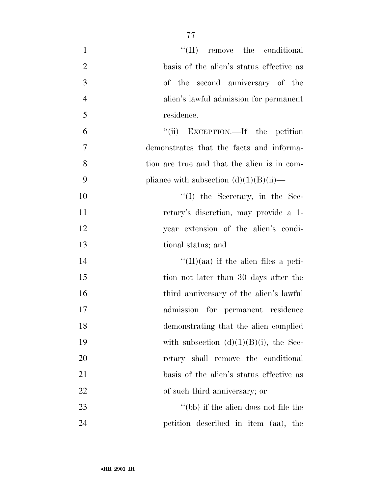| $\mathbf{1}$   | $\lq\lq$ (II) remove the conditional         |
|----------------|----------------------------------------------|
| $\overline{2}$ | basis of the alien's status effective as     |
| 3              | of the second anniversary of the             |
| $\overline{4}$ | alien's lawful admission for permanent       |
| 5              | residence.                                   |
| 6              | "(ii) EXCEPTION.—If the petition             |
| $\overline{7}$ | demonstrates that the facts and informa-     |
| 8              | tion are true and that the alien is in com-  |
| 9              | pliance with subsection $(d)(1)(B)(ii)$ —    |
| 10             | $\lq\lq$ (I) the Secretary, in the Sec-      |
| 11             | retary's discretion, may provide a 1-        |
| 12             | year extension of the alien's condi-         |
| 13             | tional status; and                           |
| 14             | $\lq\lq$ (II)(aa) if the alien files a peti- |
| 15             | tion not later than 30 days after the        |
| 16             | third anniversary of the alien's lawful      |
| 17             | admission for permanent residence            |
| 18             | demonstrating that the alien complied        |
| 19             | with subsection $(d)(1)(B)(i)$ , the Sec-    |
| 20             | retary shall remove the conditional          |
| 21             | basis of the alien's status effective as     |
| 22             | of such third anniversary; or                |
| 23             | "(bb) if the alien does not file the         |
| 24             | petition described in item (aa), the         |
|                |                                              |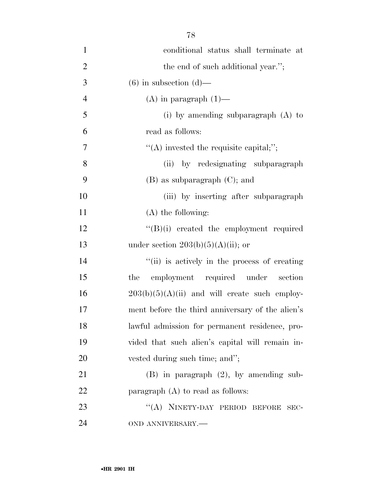| $\mathbf{1}$   | conditional status shall terminate at            |
|----------------|--------------------------------------------------|
| $\overline{2}$ | the end of such additional year.";               |
| 3              | $(6)$ in subsection $(d)$ —                      |
| $\overline{4}$ | $(A)$ in paragraph $(1)$ —                       |
| 5              | (i) by amending subparagraph $(A)$ to            |
| 6              | read as follows:                                 |
| 7              | $\lq\lq$ invested the requisite capital;";       |
| 8              | (ii) by redesignating subparagraph               |
| 9              | $(B)$ as subparagraph $(C)$ ; and                |
| 10             | (iii) by inserting after subparagraph            |
| 11             | $(A)$ the following:                             |
| 12             | "(B)(i) created the employment required          |
| 13             | under section $203(b)(5)(A)(ii)$ ; or            |
| 14             | "(ii) is actively in the process of creating     |
| 15             | employment required under section<br>the         |
| 16             | $203(b)(5)(A)(ii)$ and will create such employ-  |
| 17             | ment before the third anniversary of the alien's |
| 18             | lawful admission for permanent residence, pro-   |
| 19             | vided that such alien's capital will remain in-  |
| 20             | vested during such time; and";                   |
| 21             | $(B)$ in paragraph $(2)$ , by amending sub-      |
| 22             | paragraph $(A)$ to read as follows:              |
| 23             | "(A) NINETY-DAY PERIOD BEFORE SEC-               |
| 24             | OND ANNIVERSARY.-                                |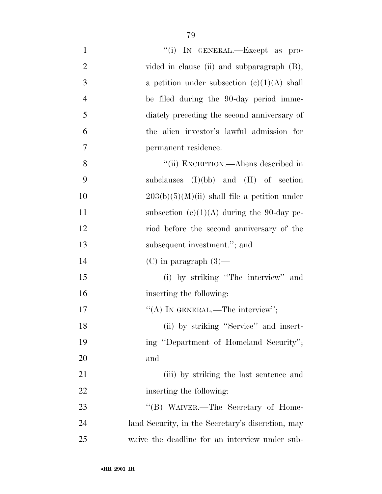| $\mathbf{1}$   | "(i) IN GENERAL.—Except as pro-                   |
|----------------|---------------------------------------------------|
| $\overline{2}$ | vided in clause (ii) and subparagraph (B),        |
| 3              | a petition under subsection $(c)(1)(A)$ shall     |
| $\overline{4}$ | be filed during the 90-day period imme-           |
| 5              | diately preceding the second anniversary of       |
| 6              | the alien investor's lawful admission for         |
| 7              | permanent residence.                              |
| 8              | "(ii) EXCEPTION.—Aliens described in              |
| 9              | subclauses $(I)(bb)$ and $(II)$ of section        |
| 10             | $203(b)(5)(M)(ii)$ shall file a petition under    |
| 11             | subsection $(c)(1)(A)$ during the 90-day pe-      |
| 12             | riod before the second anniversary of the         |
| 13             | subsequent investment."; and                      |
| 14             | $(C)$ in paragraph $(3)$ —                        |
| 15             | (i) by striking "The interview" and               |
| 16             | inserting the following:                          |
| 17             | "(A) IN GENERAL.—The interview";                  |
| 18             | (ii) by striking "Service" and insert-            |
| 19             | ing "Department of Homeland Security";            |
| 20             | and                                               |
| 21             | (iii) by striking the last sentence and           |
| 22             | inserting the following:                          |
| 23             | "(B) WAIVER.—The Secretary of Home-               |
| 24             | land Security, in the Secretary's discretion, may |
| 25             | waive the deadline for an interview under sub-    |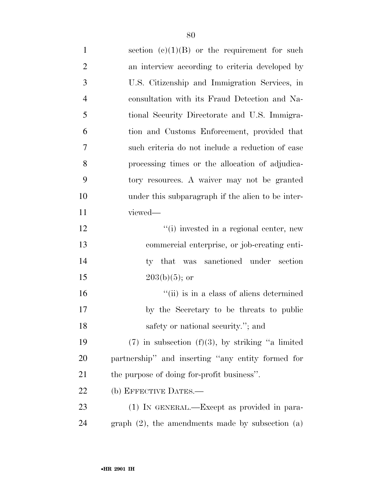1 section  $(e)(1)(B)$  or the requirement for such an interview according to criteria developed by U.S. Citizenship and Immigration Services, in consultation with its Fraud Detection and Na- tional Security Directorate and U.S. Immigra- tion and Customs Enforcement, provided that such criteria do not include a reduction of case processing times or the allocation of adjudica- tory resources. A waiver may not be granted under this subparagraph if the alien to be inter- viewed—  $\frac{1}{2}$   $\frac{1}{2}$   $\frac{1}{2}$  invested in a regional center, new commercial enterprise, or job-creating enti- ty that was sanctioned under section  $203(b)(5)$ ; or 16 ''(ii) is in a class of aliens determined by the Secretary to be threats to public 18 safety or national security."; and 19 (7) in subsection  $(f)(3)$ , by striking "a limited partnership'' and inserting ''any entity formed for the purpose of doing for-profit business''. 22 (b) EFFECTIVE DATES.— (1) IN GENERAL.—Except as provided in para-graph (2), the amendments made by subsection (a)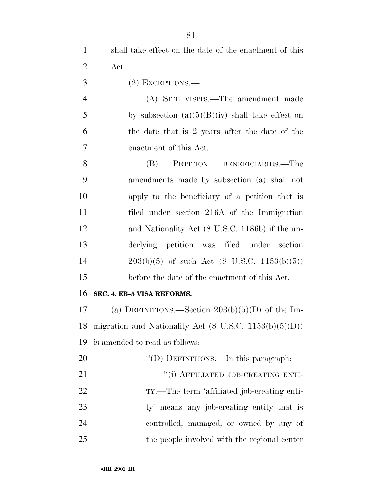(2) EXCEPTIONS.—

 (A) SITE VISITS.—The amendment made 5 by subsection  $(a)(5)(B)(iv)$  shall take effect on the date that is 2 years after the date of the enactment of this Act.

 (B) PETITION BENEFICIARIES.—The amendments made by subsection (a) shall not apply to the beneficiary of a petition that is filed under section 216A of the Immigration and Nationality Act (8 U.S.C. 1186b) if the un- derlying petition was filed under section 203(b)(5) of such Act (8 U.S.C. 1153(b)(5)) before the date of the enactment of this Act.

## **SEC. 4. EB–5 VISA REFORMS.**

17 (a) DEFINITIONS.—Section  $203(b)(5)(D)$  of the Im- migration and Nationality Act (8 U.S.C. 1153(b)(5)(D)) is amended to read as follows:

- 20 "'(D) DEFINITIONS.—In this paragraph:
- 21 "(i) AFFILIATED JOB-CREATING ENTI-22 TY.—The term 'affiliated job-creating enti-23 ty' means any job-creating entity that is controlled, managed, or owned by any of the people involved with the regional center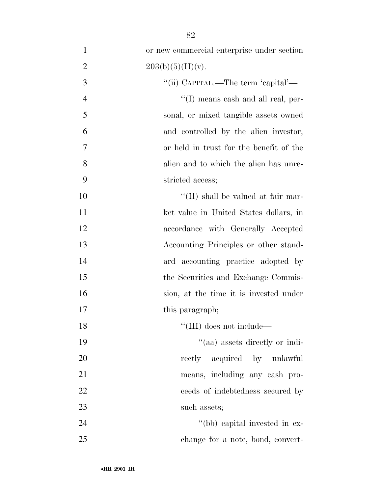| $\mathbf{1}$   | or new commercial enterprise under section |
|----------------|--------------------------------------------|
| $\overline{2}$ | 203(b)(5)(H)(v).                           |
| 3              | "(ii) CAPITAL.—The term 'capital'—         |
| $\overline{4}$ | "(I) means cash and all real, per-         |
| 5              | sonal, or mixed tangible assets owned      |
| 6              | and controlled by the alien investor,      |
| 7              | or held in trust for the benefit of the    |
| 8              | alien and to which the alien has unre-     |
| 9              | stricted access;                           |
| 10             | "(II) shall be valued at fair mar-         |
| 11             | ket value in United States dollars, in     |
| 12             | accordance with Generally Accepted         |
| 13             | Accounting Principles or other stand-      |
| 14             | ard accounting practice adopted by         |
| 15             | the Securities and Exchange Commis-        |
| 16             | sion, at the time it is invested under     |
| 17             | this paragraph;                            |
| 18             | $\lq\lq$ (III) does not include—           |
| 19             | "(aa) assets directly or indi-             |
| 20             | rectly acquired by unlawful                |
| 21             | means, including any cash pro-             |
| 22             | ceeds of indebtedness secured by           |
| 23             | such assets;                               |
| 24             | "(bb) capital invested in ex-              |
| 25             | change for a note, bond, convert-          |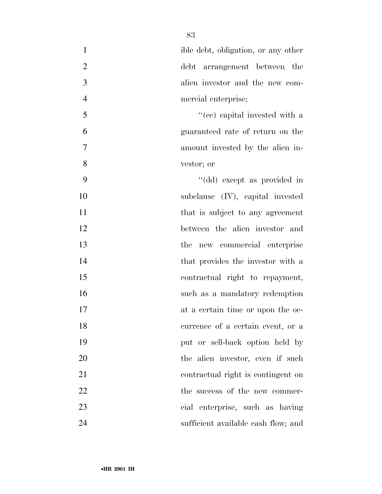| $\mathbf{1}$   | ible debt, obligation, or any other |
|----------------|-------------------------------------|
| $\overline{2}$ | debt arrangement between the        |
| 3              | alien investor and the new com-     |
| $\overline{4}$ | mercial enterprise;                 |
| 5              | "(cc) capital invested with a       |
| 6              | guaranteed rate of return on the    |
| 7              | amount invested by the alien in-    |
| 8              | vestor; or                          |
| 9              | "(dd) except as provided in         |
| 10             | subclause $(IV)$ , capital invested |
| 11             | that is subject to any agreement    |
| 12             | between the alien investor and      |
| 13             | the new commercial enterprise       |
| 14             | that provides the investor with a   |
| 15             | contractual right to repayment,     |
| 16             | such as a mandatory redemption      |
| 17             | at a certain time or upon the oc-   |
| 18             | currence of a certain event, or a   |
| 19             | put or sell-back option held by     |
| 20             | the alien investor, even if such    |
| 21             | contractual right is contingent on  |
| 22             | the success of the new commer-      |
| 23             | cial enterprise, such as having     |
| 24             | sufficient available cash flow; and |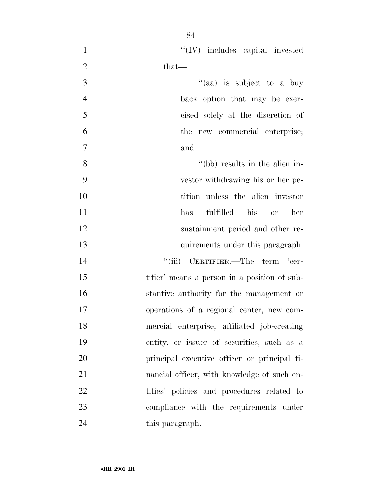| $\mathbf{1}$   | $``(IV)$ includes capital invested           |
|----------------|----------------------------------------------|
| $\overline{2}$ | that—                                        |
| 3              | "(aa) is subject to a buy                    |
| $\overline{4}$ | back option that may be exer-                |
| 5              | cised solely at the discretion of            |
| 6              | the new commercial enterprise;               |
| 7              | and                                          |
| 8              | "(bb) results in the alien in-               |
| 9              | vestor withdrawing his or her pe-            |
| 10             | tition unless the alien investor             |
| 11             | fulfilled his or<br>has<br>her               |
| 12             | sustainment period and other re-             |
| 13             | quirements under this paragraph.             |
| 14             | "(iii) CERTIFIER.—The term 'cer-             |
| 15             | tifier' means a person in a position of sub- |
| 16             | stantive authority for the management or     |
| 17             | operations of a regional center, new com-    |
| 18             | mercial enterprise, affiliated job-creating  |
| 19             | entity, or issuer of securities, such as a   |
| 20             | principal executive officer or principal fi- |
| 21             | nancial officer, with knowledge of such en-  |
| 22             | tities' policies and procedures related to   |
| 23             | compliance with the requirements under       |
| 24             | this paragraph.                              |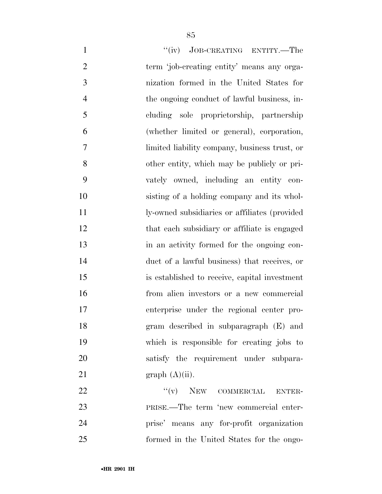| $\mathbf{1}$   | "(iv) JOB-CREATING ENTITY.—The                |
|----------------|-----------------------------------------------|
| $\overline{2}$ | term 'job-creating entity' means any orga-    |
| 3              | nization formed in the United States for      |
| $\overline{4}$ | the ongoing conduct of lawful business, in-   |
| 5              | cluding sole proprietorship, partnership      |
| 6              | (whether limited or general), corporation,    |
| 7              | limited liability company, business trust, or |
| 8              | other entity, which may be publicly or pri-   |
| 9              | vately owned, including an entity con-        |
| 10             | sisting of a holding company and its whol-    |
| 11             | ly-owned subsidiaries or affiliates (provided |
| 12             | that each subsidiary or affiliate is engaged  |
| 13             | in an activity formed for the ongoing con-    |
| 14             | duct of a lawful business) that receives, or  |
| 15             | is established to receive, capital investment |
| 16             | from alien investors or a new commercial      |
| 17             | enterprise under the regional center pro-     |
| 18             | gram described in subparagraph (E) and        |
| 19             | which is responsible for creating jobs to     |
| 20             | satisfy the requirement under subpara-        |
| 21             | graph (A)(ii).                                |
| 22             | $``(v)$ NEW COMMERCIAL<br><b>ENTER-</b>       |
| 23             | PRISE.—The term 'new commercial enter-        |
| 24             | prise' means any for-profit organization      |

formed in the United States for the ongo-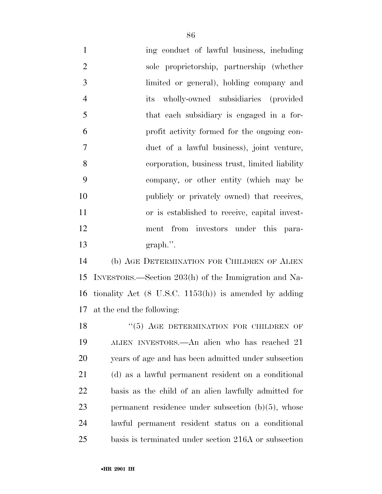1 ing conduct of lawful business, including sole proprietorship, partnership (whether limited or general), holding company and its wholly-owned subsidiaries (provided that each subsidiary is engaged in a for- profit activity formed for the ongoing con- duct of a lawful business), joint venture, corporation, business trust, limited liability company, or other entity (which may be 10 publicly or privately owned) that receives, or is established to receive, capital invest- ment from investors under this para-graph.''.

 (b) AGE DETERMINATION FOR CHILDREN OF ALIEN INVESTORS.—Section 203(h) of the Immigration and Na- tionality Act (8 U.S.C. 1153(h)) is amended by adding at the end the following:

18 "(5) AGE DETERMINATION FOR CHILDREN OF ALIEN INVESTORS.—An alien who has reached 21 years of age and has been admitted under subsection (d) as a lawful permanent resident on a conditional basis as the child of an alien lawfully admitted for permanent residence under subsection (b)(5), whose lawful permanent resident status on a conditional basis is terminated under section 216A or subsection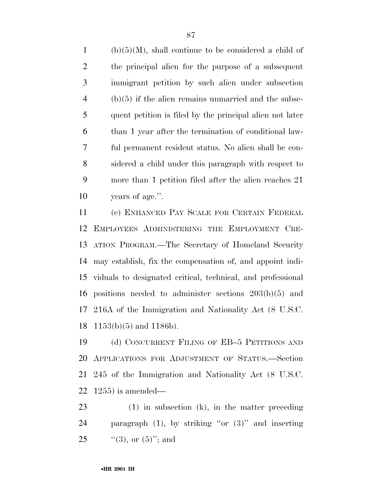(b)(5)(M), shall continue to be considered a child of the principal alien for the purpose of a subsequent immigrant petition by such alien under subsection (b)(5) if the alien remains unmarried and the subse- quent petition is filed by the principal alien not later than 1 year after the termination of conditional law- ful permanent resident status. No alien shall be con- sidered a child under this paragraph with respect to more than 1 petition filed after the alien reaches 21 years of age.''.

 (c) ENHANCED PAY SCALE FOR CERTAIN FEDERAL EMPLOYEES ADMINISTERING THE EMPLOYMENT CRE- ATION PROGRAM.—The Secretary of Homeland Security may establish, fix the compensation of, and appoint indi- viduals to designated critical, technical, and professional positions needed to administer sections 203(b)(5) and 216A of the Immigration and Nationality Act (8 U.S.C.  $1153(b)(5)$  and 1186b).

 (d) CONCURRENT FILING OF EB–5 PETITIONS AND APPLICATIONS FOR ADJUSTMENT OF STATUS.—Section 245 of the Immigration and Nationality Act (8 U.S.C. 1255) is amended—

 (1) in subsection (k), in the matter preceding paragraph (1), by striking ''or (3)'' and inserting 25  $(3)$ , or  $(5)$ "; and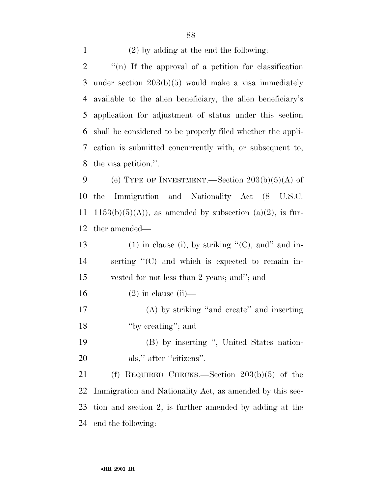(2) by adding at the end the following:

 ''(n) If the approval of a petition for classification under section 203(b)(5) would make a visa immediately available to the alien beneficiary, the alien beneficiary's application for adjustment of status under this section shall be considered to be properly filed whether the appli- cation is submitted concurrently with, or subsequent to, the visa petition.''.

9 (e) TYPE OF INVESTMENT.—Section  $203(b)(5)(A)$  of the Immigration and Nationality Act (8 U.S.C. 11 1153(b)(5)(A)), as amended by subsection (a)(2), is fur-ther amended—

13 (1) in clause (i), by striking  $C'(C)$ , and in- serting ''(C) and which is expected to remain in- vested for not less than 2 years; and''; and 16 (2) in clause (ii)— (A) by striking ''and create'' and inserting ''by creating''; and (B) by inserting '', United States nation-20 als," after "citizens".

 (f) REQUIRED CHECKS.—Section 203(b)(5) of the Immigration and Nationality Act, as amended by this sec- tion and section 2, is further amended by adding at the end the following: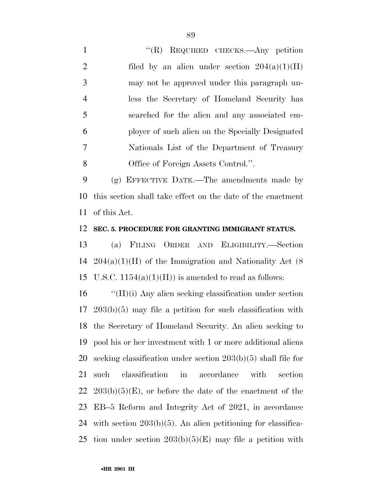1 "'(R) REQUIRED CHECKS.—Any petition 2 filed by an alien under section  $204(a)(1)(H)$  may not be approved under this paragraph un- less the Secretary of Homeland Security has searched for the alien and any associated em- ployer of such alien on the Specially Designated Nationals List of the Department of Treasury Office of Foreign Assets Control.''.

 (g) EFFECTIVE DATE.—The amendments made by this section shall take effect on the date of the enactment of this Act.

## **SEC. 5. PROCEDURE FOR GRANTING IMMIGRANT STATUS.**

 (a) FILING ORDER AND ELIGIBILITY.—Section 204(a)(1)(H) of the Immigration and Nationality Act (8 15 U.S.C.  $1154(a)(1)(H)$  is amended to read as follows:

 ''(H)(i) Any alien seeking classification under section 203(b)(5) may file a petition for such classification with the Secretary of Homeland Security. An alien seeking to pool his or her investment with 1 or more additional aliens seeking classification under section 203(b)(5) shall file for such classification in accordance with section  $22\;203(b)(5)(E)$ , or before the date of the enactment of the EB–5 Reform and Integrity Act of 2021, in accordance with section 203(b)(5). An alien petitioning for classifica-25 tion under section  $203(b)(5)(E)$  may file a petition with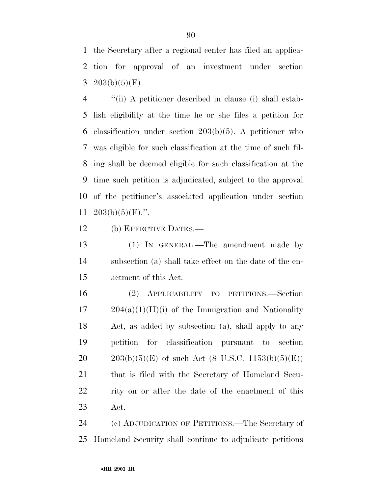the Secretary after a regional center has filed an applica- tion for approval of an investment under section 3 203(b)(5)(F).

 ''(ii) A petitioner described in clause (i) shall estab- lish eligibility at the time he or she files a petition for classification under section 203(b)(5). A petitioner who was eligible for such classification at the time of such fil- ing shall be deemed eligible for such classification at the time such petition is adjudicated, subject to the approval of the petitioner's associated application under section  $203(b)(5)(F)$ .".

(b) EFFECTIVE DATES.—

 (1) IN GENERAL.—The amendment made by subsection (a) shall take effect on the date of the en-actment of this Act.

 (2) APPLICABILITY TO PETITIONS.—Section 204(a)(1)(H)(i) of the Immigration and Nationality Act, as added by subsection (a), shall apply to any petition for classification pursuant to section  $203(b)(5)(E)$  of such Act (8 U.S.C. 1153(b)(5)(E)) that is filed with the Secretary of Homeland Secu- rity on or after the date of the enactment of this Act.

 (c) ADJUDICATION OF PETITIONS.—The Secretary of Homeland Security shall continue to adjudicate petitions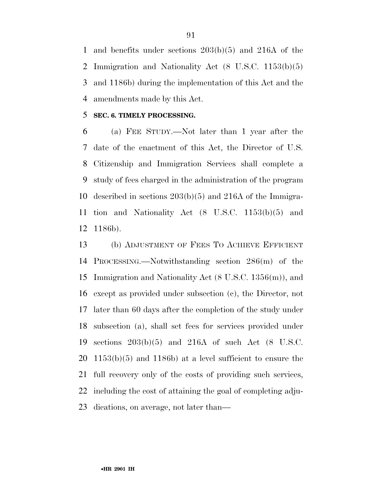and benefits under sections 203(b)(5) and 216A of the Immigration and Nationality Act (8 U.S.C. 1153(b)(5) and 1186b) during the implementation of this Act and the amendments made by this Act.

## **SEC. 6. TIMELY PROCESSING.**

 (a) FEE STUDY.—Not later than 1 year after the date of the enactment of this Act, the Director of U.S. Citizenship and Immigration Services shall complete a study of fees charged in the administration of the program described in sections 203(b)(5) and 216A of the Immigra- tion and Nationality Act (8 U.S.C. 1153(b)(5) and 1186b).

 (b) ADJUSTMENT OF FEES TO ACHIEVE EFFICIENT PROCESSING.—Notwithstanding section 286(m) of the Immigration and Nationality Act (8 U.S.C. 1356(m)), and except as provided under subsection (c), the Director, not later than 60 days after the completion of the study under subsection (a), shall set fees for services provided under sections 203(b)(5) and 216A of such Act (8 U.S.C. 1153(b)(5) and 1186b) at a level sufficient to ensure the full recovery only of the costs of providing such services, including the cost of attaining the goal of completing adju-dications, on average, not later than—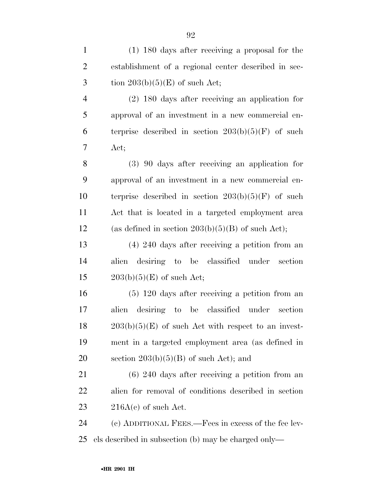| $\mathbf{1}$   | $(1)$ 180 days after receiving a proposal for the     |
|----------------|-------------------------------------------------------|
| $\overline{2}$ | establishment of a regional center described in sec-  |
| 3              | tion $203(b)(5)(E)$ of such Act;                      |
| 4              | $(2)$ 180 days after receiving an application for     |
| 5              | approval of an investment in a new commercial en-     |
| 6              | terprise described in section $203(b)(5)(F)$ of such  |
| 7              | Act;                                                  |
| 8              | $(3)$ 90 days after receiving an application for      |
| 9              | approval of an investment in a new commercial en-     |
| 10             | terprise described in section $203(b)(5)(F)$ of such  |
| 11             | Act that is located in a targeted employment area     |
| 12             | (as defined in section $203(b)(5)(B)$ of such Act);   |
| 13             | $(4)$ 240 days after receiving a petition from an     |
| 14             | desiring to be classified under section<br>alien      |
| 15             | $203(b)(5)(E)$ of such Act;                           |
| 16             | $(5)$ 120 days after receiving a petition from an     |
| 17             | desiring to<br>be classified under section<br>alien   |
| 18             | $203(b)(5)(E)$ of such Act with respect to an invest- |
| 19             | ment in a targeted employment area (as defined in     |
| 20             | section $203(b)(5)(B)$ of such Act); and              |
| 21             | $(6)$ 240 days after receiving a petition from an     |
| 22             | alien for removal of conditions described in section  |
| 23             | $216A(c)$ of such Act.                                |
| 24             | (c) ADDITIONAL FEES.—Fees in excess of the fee lev-   |
| 25             | els described in subsection (b) may be charged only—  |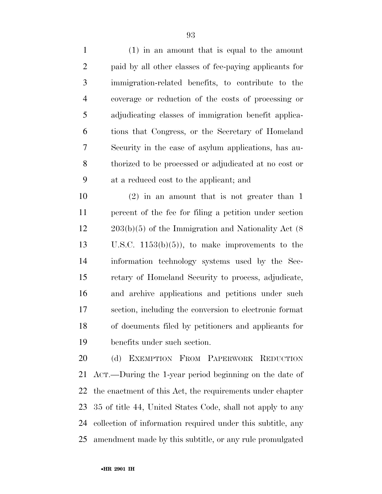(1) in an amount that is equal to the amount paid by all other classes of fee-paying applicants for immigration-related benefits, to contribute to the coverage or reduction of the costs of processing or adjudicating classes of immigration benefit applica- tions that Congress, or the Secretary of Homeland Security in the case of asylum applications, has au- thorized to be processed or adjudicated at no cost or at a reduced cost to the applicant; and

 (2) in an amount that is not greater than 1 percent of the fee for filing a petition under section 203(b)(5) of the Immigration and Nationality Act (8 U.S.C. 1153(b)(5)), to make improvements to the information technology systems used by the Sec- retary of Homeland Security to process, adjudicate, and archive applications and petitions under such section, including the conversion to electronic format of documents filed by petitioners and applicants for benefits under such section.

 (d) EXEMPTION FROM PAPERWORK REDUCTION ACT.—During the 1-year period beginning on the date of the enactment of this Act, the requirements under chapter 35 of title 44, United States Code, shall not apply to any collection of information required under this subtitle, any amendment made by this subtitle, or any rule promulgated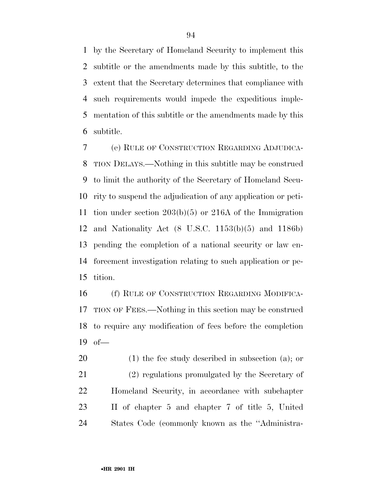by the Secretary of Homeland Security to implement this subtitle or the amendments made by this subtitle, to the extent that the Secretary determines that compliance with such requirements would impede the expeditious imple- mentation of this subtitle or the amendments made by this subtitle.

 (e) RULE OF CONSTRUCTION REGARDING ADJUDICA- TION DELAYS.—Nothing in this subtitle may be construed to limit the authority of the Secretary of Homeland Secu- rity to suspend the adjudication of any application or peti- tion under section 203(b)(5) or 216A of the Immigration and Nationality Act (8 U.S.C. 1153(b)(5) and 1186b) pending the completion of a national security or law en- forcement investigation relating to such application or pe-tition.

 (f) RULE OF CONSTRUCTION REGARDING MODIFICA- TION OF FEES.—Nothing in this section may be construed to require any modification of fees before the completion of—

 (1) the fee study described in subsection (a); or (2) regulations promulgated by the Secretary of Homeland Security, in accordance with subchapter II of chapter 5 and chapter 7 of title 5, United States Code (commonly known as the ''Administra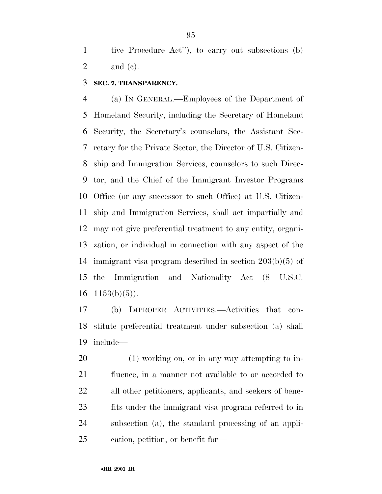tive Procedure Act''), to carry out subsections (b) and (c).

## **SEC. 7. TRANSPARENCY.**

 (a) IN GENERAL.—Employees of the Department of Homeland Security, including the Secretary of Homeland Security, the Secretary's counselors, the Assistant Sec- retary for the Private Sector, the Director of U.S. Citizen- ship and Immigration Services, counselors to such Direc- tor, and the Chief of the Immigrant Investor Programs Office (or any successor to such Office) at U.S. Citizen- ship and Immigration Services, shall act impartially and may not give preferential treatment to any entity, organi- zation, or individual in connection with any aspect of the immigrant visa program described in section 203(b)(5) of the Immigration and Nationality Act (8 U.S.C.  $1153(b)(5)$ .

 (b) IMPROPER ACTIVITIES.—Activities that con- stitute preferential treatment under subsection (a) shall include—

 (1) working on, or in any way attempting to in- fluence, in a manner not available to or accorded to all other petitioners, applicants, and seekers of bene- fits under the immigrant visa program referred to in subsection (a), the standard processing of an appli-cation, petition, or benefit for—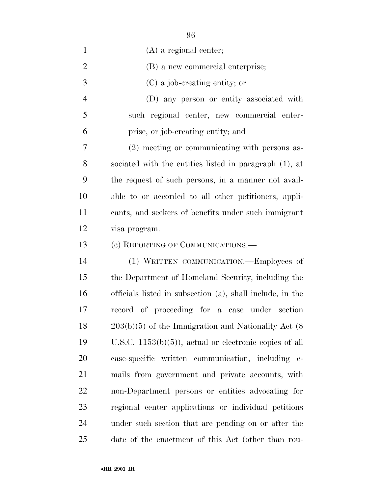| $\mathbf{1}$   | $(A)$ a regional center;                                  |
|----------------|-----------------------------------------------------------|
| $\overline{2}$ | (B) a new commercial enterprise;                          |
| 3              | (C) a job-creating entity; or                             |
| $\overline{4}$ | (D) any person or entity associated with                  |
| 5              | such regional center, new commercial enter-               |
| 6              | prise, or job-creating entity; and                        |
| 7              | (2) meeting or communicating with persons as-             |
| 8              | sociated with the entities listed in paragraph (1), at    |
| 9              | the request of such persons, in a manner not avail-       |
| 10             | able to or accorded to all other petitioners, appli-      |
| 11             | cants, and seekers of benefits under such immigrant       |
| 12             | visa program.                                             |
| 13             | (c) REPORTING OF COMMUNICATIONS.—                         |
| 14             | (1) WRITTEN COMMUNICATION.—Employees of                   |
| 15             | the Department of Homeland Security, including the        |
| 16             | officials listed in subsection (a), shall include, in the |
| 17             | record of proceeding for a case under section             |
| 18             | $203(b)(5)$ of the Immigration and Nationality Act $(8)$  |
| 19             | U.S.C. $1153(b)(5)$ , actual or electronic copies of all  |
| 20             | case-specific written communication, including e-         |
| 21             | mails from government and private accounts, with          |
| 22             | non-Department persons or entities advocating for         |
| 23             | regional center applications or individual petitions      |
| 24             | under such section that are pending on or after the       |
| 25             | date of the enactment of this Act (other than rou-        |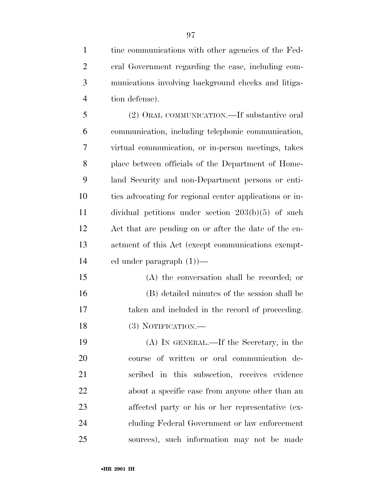tine communications with other agencies of the Fed- eral Government regarding the case, including com- munications involving background checks and litiga-tion defense).

 (2) ORAL COMMUNICATION.—If substantive oral communication, including telephonic communication, virtual communication, or in-person meetings, takes place between officials of the Department of Home- land Security and non-Department persons or enti- ties advocating for regional center applications or in- dividual petitions under section 203(b)(5) of such Act that are pending on or after the date of the en- actment of this Act (except communications exempt-ed under paragraph (1))—

 (A) the conversation shall be recorded; or (B) detailed minutes of the session shall be taken and included in the record of proceeding. 18 (3) NOTIFICATION.—

 (A) IN GENERAL.—If the Secretary, in the course of written or oral communication de- scribed in this subsection, receives evidence about a specific case from anyone other than an affected party or his or her representative (ex- cluding Federal Government or law enforcement sources), such information may not be made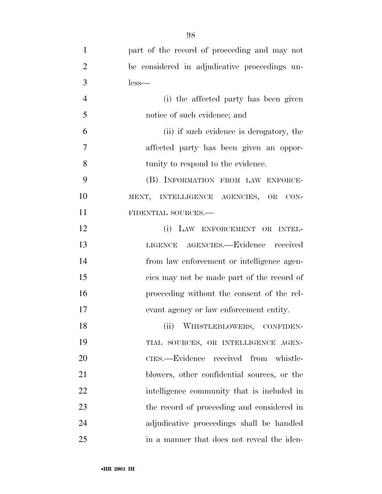| 1              | part of the record of proceeding and may not  |
|----------------|-----------------------------------------------|
| $\overline{2}$ | be considered in adjudicative proceedings un- |
| 3              | $less-$                                       |
| $\overline{4}$ | (i) the affected party has been given         |
| 5              | notice of such evidence; and                  |
| 6              | (ii) if such evidence is derogatory, the      |
| 7              | affected party has been given an oppor-       |
| 8              | tunity to respond to the evidence.            |
| 9              | (B) INFORMATION FROM LAW ENFORCE-             |
| 10             | MENT, INTELLIGENCE AGENCIES, OR<br>CON-       |
| 11             | FIDENTIAL SOURCES.-                           |
| 12             | (i) LAW ENFORCEMENT OR INTEL-                 |
| 13             | LIGENCE AGENCIES.-Evidence received           |
| 14             | from law enforcement or intelligence agen-    |
| 15             | cies may not be made part of the record of    |
| 16             | proceeding without the consent of the rel-    |
| 17             | evant agency or law enforcement entity.       |
| 18             | (ii)<br>WHISTLEBLOWERS, CONFIDEN-             |
| 19             | TIAL SOURCES, OR INTELLIGENCE AGEN-           |
| 20             | CIES.—Evidence received from whistle-         |
| 21             | blowers, other confidential sources, or the   |
| 22             | intelligence community that is included in    |
| 23             | the record of proceeding and considered in    |
| 24             | adjudicative proceedings shall be handled     |
| 25             | in a manner that does not reveal the iden-    |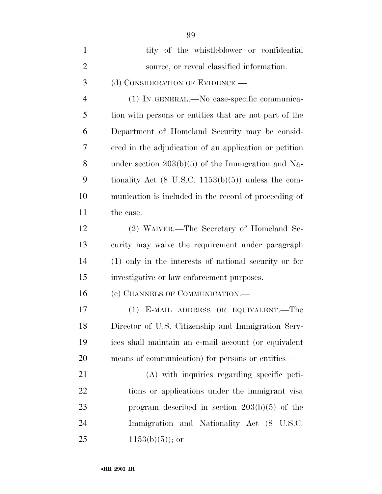| $\mathbf{1}$   | tity of the whistleblower or confidential                      |
|----------------|----------------------------------------------------------------|
| $\overline{2}$ | source, or reveal classified information.                      |
| 3              | (d) CONSIDERATION OF EVIDENCE.—                                |
| $\overline{4}$ | (1) IN GENERAL.—No case-specific communica-                    |
| 5              | tion with persons or entities that are not part of the         |
| 6              | Department of Homeland Security may be consid-                 |
| 7              | ered in the adjudication of an application or petition         |
| 8              | under section $203(b)(5)$ of the Immigration and Na-           |
| 9              | tionality Act $(8 \text{ U.S.C. } 1153(b)(5))$ unless the com- |
| 10             | munication is included in the record of proceeding of          |
| 11             | the case.                                                      |
| 12             | (2) WAIVER.—The Secretary of Homeland Se-                      |
| 13             | curity may waive the requirement under paragraph               |
| 14             | (1) only in the interests of national security or for          |
| 15             | investigative or law enforcement purposes.                     |
| 16             | (e) CHANNELS OF COMMUNICATION.—                                |
| 17             | (1) E-MAIL ADDRESS OR EQUIVALENT.—The                          |
| 18             | Director of U.S. Citizenship and Immigration Serv-             |
| 19             | ices shall maintain an e-mail account (or equivalent           |
| 20             | means of communication) for persons or entities—               |
| 21             | (A) with inquiries regarding specific peti-                    |
| 22             | tions or applications under the immigrant visa                 |
| 23             | program described in section $203(b)(5)$ of the                |
| 24             | Immigration and Nationality Act (8 U.S.C.                      |
| 25             | $1153(b)(5)$ ; or                                              |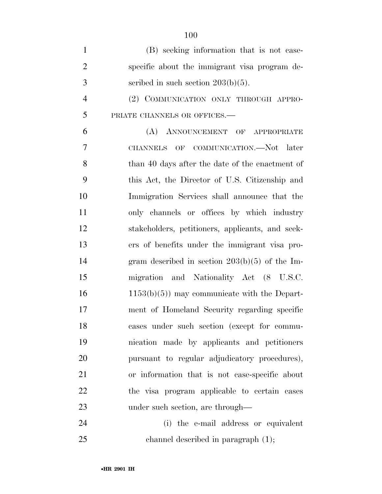| $\mathbf{1}$   | (B) seeking information that is not case-        |
|----------------|--------------------------------------------------|
| $\overline{2}$ | specific about the immigrant visa program de-    |
| 3              | scribed in such section $203(b)(5)$ .            |
| $\overline{4}$ | (2) COMMUNICATION ONLY THROUGH APPRO-            |
| 5              | PRIATE CHANNELS OR OFFICES.-                     |
| 6              | (A) ANNOUNCEMENT OF APPROPRIATE                  |
| 7              | CHANNELS OF COMMUNICATION.-Not later             |
| 8              | than 40 days after the date of the enactment of  |
| 9              | this Act, the Director of U.S. Citizenship and   |
| 10             | Immigration Services shall announce that the     |
| 11             | only channels or offices by which industry       |
| 12             | stakeholders, petitioners, applicants, and seek- |
| 13             | ers of benefits under the immigrant visa pro-    |
| 14             | gram described in section $203(b)(5)$ of the Im- |
| 15             | migration and Nationality Act (8 U.S.C.          |
| 16             | $1153(b)(5)$ may communicate with the Depart-    |
| 17             | ment of Homeland Security regarding specific     |
| 18             | cases under such section (except for commu-      |
| 19             | nication made by applicants and petitioners      |
| 20             | pursuant to regular adjudicatory procedures),    |
| 21             | or information that is not case-specific about   |
| 22             | the visa program applicable to certain cases     |
| 23             | under such section, are through—                 |
| 24             | (i) the e-mail address or equivalent             |

channel described in paragraph (1);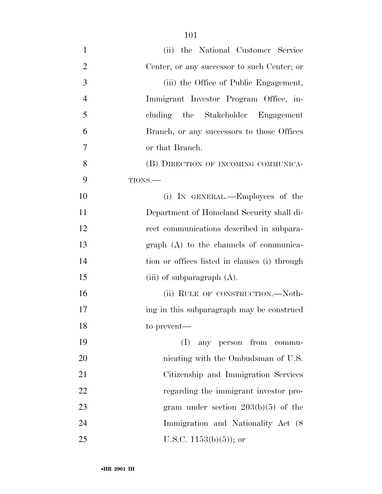| $\mathbf{1}$   | (ii) the National Customer Service            |
|----------------|-----------------------------------------------|
| $\overline{2}$ | Center, or any successor to such Center; or   |
| 3              | (iii) the Office of Public Engagement,        |
| $\overline{4}$ | Immigrant Investor Program Office, in-        |
| 5              | cluding the Stakeholder Engagement            |
| 6              | Branch, or any successors to those Offices    |
| 7              | or that Branch.                               |
| 8              | (B) DIRECTION OF INCOMING COMMUNICA-          |
| 9              | TIONS.-                                       |
| 10             | (i) IN GENERAL.—Employees of the              |
| 11             | Department of Homeland Security shall di-     |
| 12             | rect communications described in subpara-     |
| 13             | $graph(A)$ to the channels of communica-      |
| 14             | tion or offices listed in clauses (i) through |
| 15             | (iii) of subparagraph $(A)$ .                 |
| 16             | (ii) RULE OF CONSTRUCTION.—Noth-              |
| 17             | ing in this subparagraph may be construed     |
| 18             | to prevent—                                   |
| 19             | (I)<br>any person from commu-                 |
| 20             | nicating with the Ombudsman of U.S.           |
| 21             | Citizenship and Immigration Services          |
| 22             | regarding the immigrant investor pro-         |
| 23             | gram under section $203(b)(5)$ of the         |
| 24             | Immigration and Nationality Act (8)           |
| 25             | U.S.C. $1153(b)(5)$ ; or                      |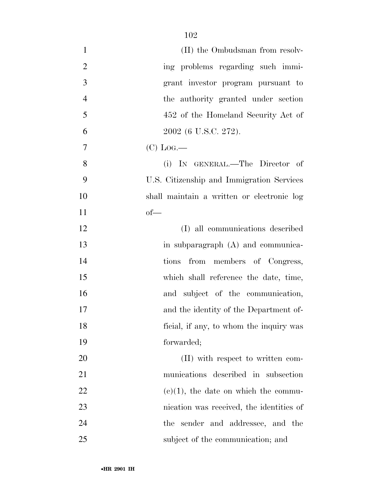| $\mathbf{1}$   | (II) the Ombudsman from resolv-            |
|----------------|--------------------------------------------|
| $\overline{2}$ | ing problems regarding such immi-          |
| 3              | grant investor program pursuant to         |
| $\overline{4}$ | the authority granted under section        |
| 5              | 452 of the Homeland Security Act of        |
| 6              | 2002 (6 U.S.C. 272).                       |
| 7              | $(C)$ Log.—                                |
| 8              | (i) IN GENERAL.—The Director of            |
| 9              | U.S. Citizenship and Immigration Services  |
| 10             | shall maintain a written or electronic log |
| 11             | $of$ —                                     |
| 12             | (I) all communications described           |
| 13             | in subparagraph (A) and communica-         |
| 14             | from members of Congress,<br>tions         |
| 15             | which shall reference the date, time,      |
| 16             | and subject of the communication,          |
| 17             | and the identity of the Department of-     |
| 18             | ficial, if any, to whom the inquiry was    |
| 19             | forwarded;                                 |
| 20             | (II) with respect to written com-          |
| 21             | munications described in subsection        |
| 22             | $(e)(1)$ , the date on which the commu-    |
| 23             | nication was received, the identities of   |
| 24             | the sender and addressee, and the          |
| 25             | subject of the communication; and          |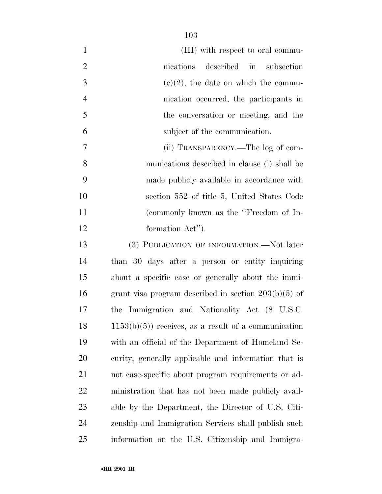| $\mathbf{1}$   | (III) with respect to oral commu-                      |
|----------------|--------------------------------------------------------|
| $\overline{2}$ | nications described in subsection                      |
| 3              | $(e)(2)$ , the date on which the commu-                |
| $\overline{4}$ | nication occurred, the participants in                 |
| 5              | the conversation or meeting, and the                   |
| 6              | subject of the communication.                          |
| 7              | (ii) TRANSPARENCY.—The log of com-                     |
| 8              | munications described in clause (i) shall be           |
| 9              | made publicly available in accordance with             |
| 10             | section 552 of title 5, United States Code             |
| 11             | (commonly known as the "Freedom of In-                 |
| 12             | formation Act").                                       |
| 13             | (3) PUBLICATION OF INFORMATION.—Not later              |
| 14             | than 30 days after a person or entity inquiring        |
| 15             | about a specific case or generally about the immi-     |
| 16             | grant visa program described in section $203(b)(5)$ of |
| 17             | the Immigration and Nationality Act (8 U.S.C.          |
| 18             | $1153(b)(5)$ receives, as a result of a communication  |
| 19             | with an official of the Department of Homeland Se-     |
| 20             | curity, generally applicable and information that is   |
| 21             | not case-specific about program requirements or ad-    |
| <u>22</u>      | ministration that has not been made publicly avail-    |
| 23             | able by the Department, the Director of U.S. Citi-     |
| 24             | zenship and Immigration Services shall publish such    |
| 25             | information on the U.S. Citizenship and Immigra-       |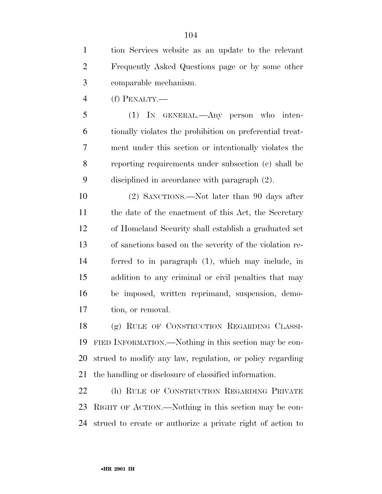tion Services website as an update to the relevant Frequently Asked Questions page or by some other comparable mechanism.

(f) PENALTY.—

 (1) IN GENERAL.—Any person who inten- tionally violates the prohibition on preferential treat- ment under this section or intentionally violates the reporting requirements under subsection (c) shall be disciplined in accordance with paragraph (2).

 (2) SANCTIONS.—Not later than 90 days after 11 the date of the enactment of this Act, the Secretary of Homeland Security shall establish a graduated set of sanctions based on the severity of the violation re- ferred to in paragraph (1), which may include, in addition to any criminal or civil penalties that may be imposed, written reprimand, suspension, demo-tion, or removal.

 (g) RULE OF CONSTRUCTION REGARDING CLASSI- FIED INFORMATION.—Nothing in this section may be con- strued to modify any law, regulation, or policy regarding the handling or disclosure of classified information.

 (h) RULE OF CONSTRUCTION REGARDING PRIVATE RIGHT OF ACTION.—Nothing in this section may be con-strued to create or authorize a private right of action to